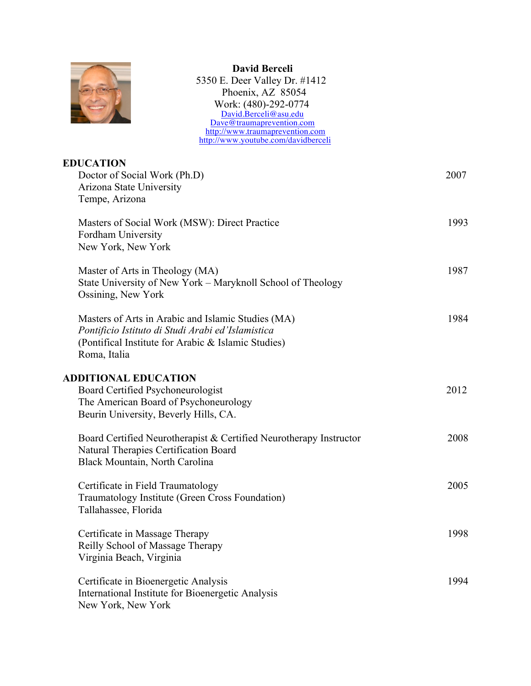

 **David Berceli** 5350 E. Deer Valley Dr. #1412 Phoenix, AZ 85054 Work: (480)-292-0774 David.Berceli@asu.edu Dave@traumaprevention.com http://www.traumaprevention.com http://www.youtube.com/davidberceli

| <b>EDUCATION</b>                                                   |      |
|--------------------------------------------------------------------|------|
| Doctor of Social Work (Ph.D)                                       | 2007 |
| Arizona State University<br>Tempe, Arizona                         |      |
|                                                                    |      |
| Masters of Social Work (MSW): Direct Practice                      | 1993 |
| Fordham University                                                 |      |
| New York, New York                                                 |      |
| Master of Arts in Theology (MA)                                    | 1987 |
| State University of New York – Maryknoll School of Theology        |      |
| Ossining, New York                                                 |      |
| Masters of Arts in Arabic and Islamic Studies (MA)                 | 1984 |
| Pontificio Istituto di Studi Arabi ed'Islamistica                  |      |
| (Pontifical Institute for Arabic & Islamic Studies)                |      |
| Roma, Italia                                                       |      |
| <b>ADDITIONAL EDUCATION</b>                                        |      |
| Board Certified Psychoneurologist                                  | 2012 |
| The American Board of Psychoneurology                              |      |
| Beurin University, Beverly Hills, CA.                              |      |
| Board Certified Neurotherapist & Certified Neurotherapy Instructor | 2008 |
| Natural Therapies Certification Board                              |      |
| Black Mountain, North Carolina                                     |      |
| Certificate in Field Traumatology                                  | 2005 |
| Traumatology Institute (Green Cross Foundation)                    |      |
| Tallahassee, Florida                                               |      |
| Certificate in Massage Therapy                                     | 1998 |
| Reilly School of Massage Therapy                                   |      |
| Virginia Beach, Virginia                                           |      |
| Certificate in Bioenergetic Analysis                               | 1994 |
| International Institute for Bioenergetic Analysis                  |      |
| New York, New York                                                 |      |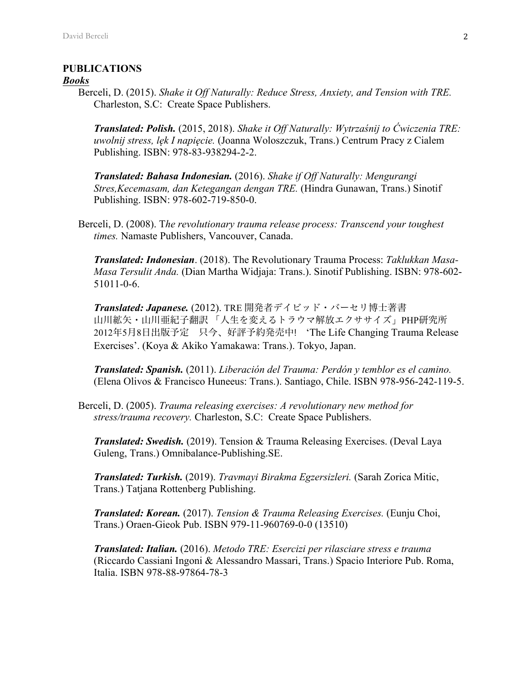### **PUBLICATIONS**

#### *Books*

Berceli, D. (2015). *Shake it Off Naturally: Reduce Stress, Anxiety, and Tension with TRE.* Charleston, S.C: Create Space Publishers.

*Translated: Polish.* (2015, 2018). *Shake it Off Naturally: Wytrzaśnij to Ćwiczenia TRE: uwolnij stress, lęk I napięcie.* (Joanna Woloszczuk, Trans.) Centrum Pracy z Cialem Publishing. ISBN: 978-83-938294-2-2.

*Translated: Bahasa Indonesian.* (2016). *Shake if Off Naturally: Mengurangi Stres,Kecemasam, dan Ketegangan dengan TRE.* (Hindra Gunawan, Trans.) Sinotif Publishing. ISBN: 978-602-719-850-0.

Berceli, D. (2008). T*he revolutionary trauma release process: Transcend your toughest times.* Namaste Publishers, Vancouver, Canada.

*Translated: Indonesian*. (2018). The Revolutionary Trauma Process: *Taklukkan Masa-Masa Tersulit Anda.* (Dian Martha Widjaja: Trans.). Sinotif Publishing. ISBN: 978-602- 51011-0-6.

*Translated: Japanese.* (2012). TRE 開発者デイビッド・バーセリ博士著書 山川絋矢・山川亜紀子翻訳 「人生を変えるトラウマ解放エクササイズ」PHP研究所 2012年5月8日出版予定 只今、好評予約発売中! 'The Life Changing Trauma Release Exercises'. (Koya & Akiko Yamakawa: Trans.). Tokyo, Japan.

*Translated: Spanish.* (2011). *Liberación del Trauma: Perdón y temblor es el camino.* (Elena Olivos & Francisco Huneeus: Trans.). Santiago, Chile. ISBN 978-956-242-119-5.

Berceli, D. (2005). *Trauma releasing exercises: A revolutionary new method for stress/trauma recovery.* Charleston, S.C: Create Space Publishers.

*Translated: Swedish.* (2019). Tension & Trauma Releasing Exercises. (Deval Laya Guleng, Trans.) Omnibalance-Publishing.SE.

*Translated: Turkish.* (2019). *Travmayi Birakma Egzersizleri.* (Sarah Zorica Mitic, Trans.) Tatjana Rottenberg Publishing.

*Translated: Korean.* (2017). *Tension & Trauma Releasing Exercises.* (Eunju Choi, Trans.) Oraen-Gieok Pub. ISBN 979-11-960769-0-0 (13510)

*Translated: Italian.* (2016). *Metodo TRE: Esercizi per rilasciare stress e trauma*  (Riccardo Cassiani Ingoni & Alessandro Massari, Trans.) Spacio Interiore Pub. Roma, Italia. ISBN 978-88-97864-78-3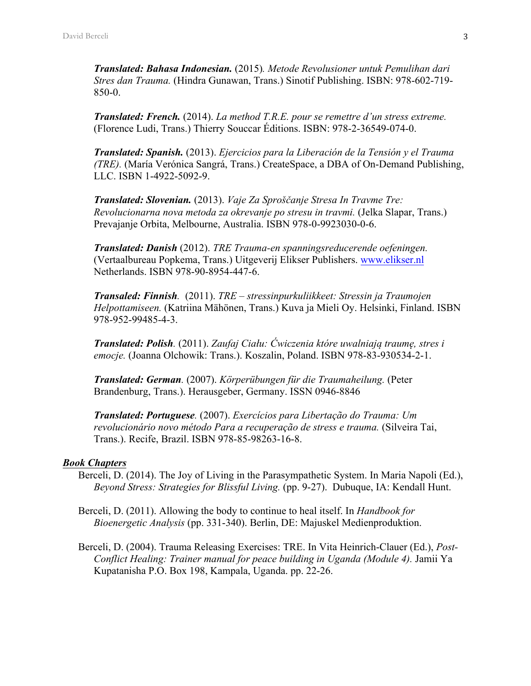*Translated: Bahasa Indonesian.* (2015)*. Metode Revolusioner untuk Pemulihan dari Stres dan Trauma.* (Hindra Gunawan, Trans.) Sinotif Publishing. ISBN: 978-602-719- 850-0.

*Translated: French.* (2014). *La method T.R.E. pour se remettre d'un stress extreme.* (Florence Ludi, Trans.) Thierry Souccar Éditions. ISBN: 978-2-36549-074-0.

*Translated: Spanish.* (2013). *Ejercicios para la Liberación de la Tensión y el Trauma (TRE).* (María Verónica Sangrá, Trans.) CreateSpace, a DBA of On-Demand Publishing, LLC. ISBN 1-4922-5092-9.

*Translated: Slovenian.* (2013). *Vaje Za Sproščanje Stresa In Travme Tre: Revolucionarna nova metoda za okrevanje po stresu in travmi.* (Jelka Slapar, Trans.) Prevajanje Orbita, Melbourne, Australia. ISBN 978-0-9923030-0-6.

*Translated: Danish* (2012). *TRE Trauma-en spanningsreducerende oefeningen.* (Vertaalbureau Popkema, Trans.) Uitgeverij Elikser Publishers. www.elikser.nl Netherlands. ISBN 978-90-8954-447-6.

*Transaled: Finnish.* (2011). *TRE – stressinpurkuliikkeet: Stressin ja Traumojen Helpottamiseen.* (Katriina Mähönen, Trans.) Kuva ja Mieli Oy. Helsinki, Finland. ISBN 978-952-99485-4-3.

*Translated: Polish.* (2011). *Zaufaj Ciału: Ćwiczenia które uwalniają traumę, stres i emocje.* (Joanna Olchowik: Trans.). Koszalin, Poland. ISBN 978-83-930534-2-1.

*Translated: German.* (2007). *Körperübungen für die Traumaheilung.* (Peter Brandenburg, Trans.). Herausgeber, Germany. ISSN 0946-8846

*Translated: Portuguese.* (2007). *Exercícios para Libertação do Trauma: Um revolucionário novo método Para a recuperação de stress e trauma.* (Silveira Tai, Trans.). Recife, Brazil. ISBN 978-85-98263-16-8.

#### *Book Chapters*

Berceli, D. (2014). The Joy of Living in the Parasympathetic System. In Maria Napoli (Ed.), *Beyond Stress: Strategies for Blissful Living.* (pp. 9-27). Dubuque, IA: Kendall Hunt.

Berceli, D. (2011). Allowing the body to continue to heal itself. In *Handbook for Bioenergetic Analysis* (pp. 331-340). Berlin, DE: Majuskel Medienproduktion.

Berceli, D. (2004). Trauma Releasing Exercises: TRE. In Vita Heinrich-Clauer (Ed.), *Post-Conflict Healing: Trainer manual for peace building in Uganda (Module 4).* Jamii Ya Kupatanisha P.O. Box 198, Kampala, Uganda. pp. 22-26.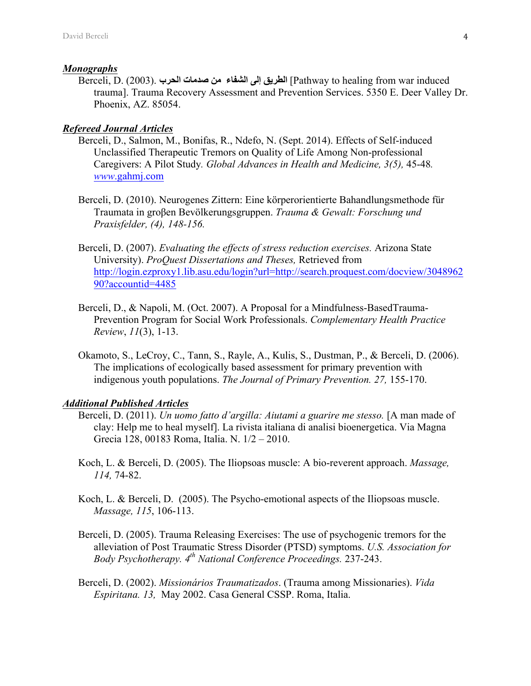#### *Monographs*

Berceli, D. (2003). **الحرب صدمات من الشفاء إلى الطریق**] Pathway to healing from war induced trauma]. Trauma Recovery Assessment and Prevention Services. 5350 E. Deer Valley Dr. Phoenix, AZ. 85054.

### *Refereed Journal Articles*

- Berceli, D., Salmon, M., Bonifas, R., Ndefo, N. (Sept. 2014). Effects of Self-induced Unclassified Therapeutic Tremors on Quality of Life Among Non-professional Caregivers: A Pilot Study*. Global Advances in Health and Medicine, 3(5),* 45-48*. www*.gahmj.com
- Berceli, D. (2010). Neurogenes Zittern: Eine körperorientierte Bahandlungsmethode für Traumata in groβen Bevölkerungsgruppen. *Trauma & Gewalt: Forschung und Praxisfelder, (4), 148-156.*
- Berceli, D. (2007). *Evaluating the effects of stress reduction exercises.* Arizona State University). *ProQuest Dissertations and Theses,* Retrieved from http://login.ezproxy1.lib.asu.edu/login?url=http://search.proquest.com/docview/3048962 90?accountid=4485
- Berceli, D., & Napoli, M. (Oct. 2007). A Proposal for a Mindfulness-BasedTrauma-Prevention Program for Social Work Professionals. *Complementary Health Practice Review*, *11*(3), 1-13.
- Okamoto, S., LeCroy, C., Tann, S., Rayle, A., Kulis, S., Dustman, P., & Berceli, D. (2006). The implications of ecologically based assessment for primary prevention with indigenous youth populations. *The Journal of Primary Prevention. 27,* 155-170.

#### *Additional Published Articles*

- Berceli, D. (2011). *Un uomo fatto d'argilla: Aiutami a guarire me stesso*. [A man made of clay: Help me to heal myself]. La rivista italiana di analisi bioenergetica. Via Magna Grecia 128, 00183 Roma, Italia. N. 1/2 – 2010.
- Koch, L. & Berceli, D. (2005). The Iliopsoas muscle: A bio-reverent approach. *Massage, 114,* 74-82.
- Koch, L. & Berceli, D. (2005). The Psycho-emotional aspects of the Iliopsoas muscle. *Massage, 115*, 106-113.
- Berceli, D. (2005). Trauma Releasing Exercises: The use of psychogenic tremors for the alleviation of Post Traumatic Stress Disorder (PTSD) symptoms. *U.S. Association for Body Psychotherapy. 4th National Conference Proceedings.* 237-243.
- Berceli, D. (2002). *Missionários Traumatizados*. (Trauma among Missionaries). *Vida Espiritana. 13,* May 2002. Casa General CSSP. Roma, Italia.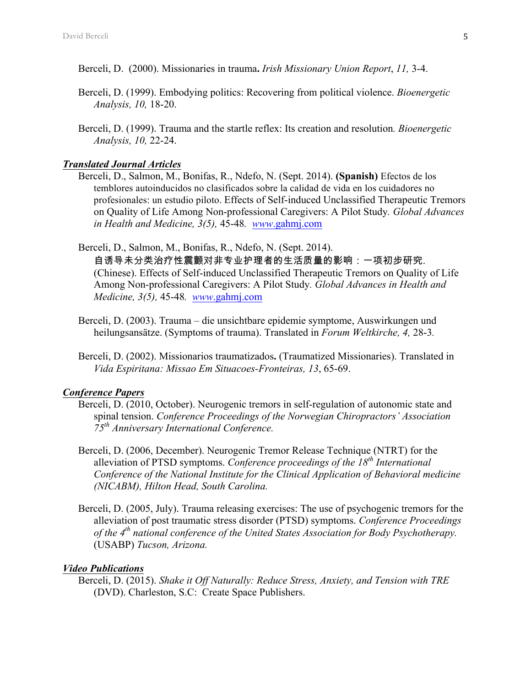- Berceli, D. (2000). Missionaries in trauma**.** *Irish Missionary Union Report*, *11,* 3-4.
- Berceli, D. (1999). Embodying politics: Recovering from political violence. *Bioenergetic Analysis, 10,* 18-20.
- Berceli, D. (1999). Trauma and the startle reflex: Its creation and resolution*. Bioenergetic Analysis, 10,* 22-24.

#### *Translated Journal Articles*

- Berceli, D., Salmon, M., Bonifas, R., Ndefo, N. (Sept. 2014). **(Spanish)** Efectos de los temblores autoinducidos no clasificados sobre la calidad de vida en los cuidadores no profesionales: un estudio piloto. Effects of Self-induced Unclassified Therapeutic Tremors on Quality of Life Among Non-professional Caregivers: A Pilot Study*. Global Advances in Health and Medicine, 3(5),* 45-48*. www*.gahmj.com
- Berceli, D., Salmon, M., Bonifas, R., Ndefo, N. (Sept. 2014).

自诱导未分类治疗性震颤对非专业护理者的生活质量的影响:一项初步研究. (Chinese). Effects of Self-induced Unclassified Therapeutic Tremors on Quality of Life Among Non-professional Caregivers: A Pilot Study*. Global Advances in Health and Medicine, 3(5),* 45-48*. www*.gahmj.com

- Berceli, D. (2003). Trauma die unsichtbare epidemie symptome, Auswirkungen und heilungsansätze. (Symptoms of trauma). Translated in *Forum Weltkirche, 4,* 28-3*.*
- Berceli, D. (2002). Missionarios traumatizados**.** (Traumatized Missionaries). Translated in *Vida Espiritana: Missao Em Situacoes-Fronteiras, 13*, 65-69.

#### *Conference Papers*

- Berceli, D. (2010, October). Neurogenic tremors in self-regulation of autonomic state and spinal tension. *Conference Proceedings of the Norwegian Chiropractors' Association 75th Anniversary International Conference.*
- Berceli, D. (2006, December). Neurogenic Tremor Release Technique (NTRT) for the alleviation of PTSD symptoms. *Conference proceedings of the 18th International Conference of the National Institute for the Clinical Application of Behavioral medicine (NICABM), Hilton Head, South Carolina.*
- Berceli, D. (2005, July). Trauma releasing exercises: The use of psychogenic tremors for the alleviation of post traumatic stress disorder (PTSD) symptoms. *Conference Proceedings of the 4th national conference of the United States Association for Body Psychotherapy.* (USABP) *Tucson, Arizona.*

#### *Video Publications*

Berceli, D. (2015). *Shake it Off Naturally: Reduce Stress, Anxiety, and Tension with TRE* (DVD). Charleston, S.C: Create Space Publishers.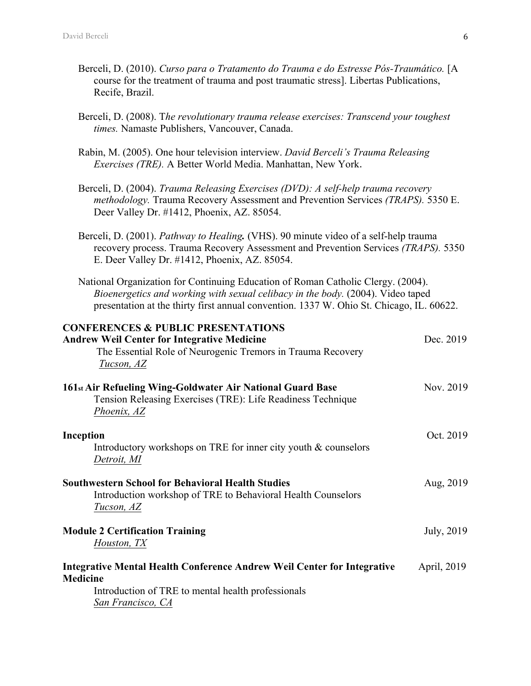- Berceli, D. (2010). *Curso para o Tratamento do Trauma e do Estresse Pós-Traumático.* [A course for the treatment of trauma and post traumatic stress]. Libertas Publications, Recife, Brazil.
- Berceli, D. (2008). T*he revolutionary trauma release exercises: Transcend your toughest times.* Namaste Publishers, Vancouver, Canada.
- Rabin, M. (2005). One hour television interview. *David Berceli's Trauma Releasing Exercises (TRE).* A Better World Media. Manhattan, New York.
- Berceli, D. (2004). *Trauma Releasing Exercises (DVD): A self-help trauma recovery methodology.* Trauma Recovery Assessment and Prevention Services *(TRAPS).* 5350 E. Deer Valley Dr. #1412, Phoenix, AZ. 85054.
- Berceli, D. (2001). *Pathway to Healing.* (VHS). 90 minute video of a self-help trauma recovery process. Trauma Recovery Assessment and Prevention Services *(TRAPS).* 5350 E. Deer Valley Dr. #1412, Phoenix, AZ. 85054.

National Organization for Continuing Education of Roman Catholic Clergy. (2004). *Bioenergetics and working with sexual celibacy in the body.* (2004). Video taped presentation at the thirty first annual convention. 1337 W. Ohio St. Chicago, IL. 60622.

| <b>CONFERENCES &amp; PUBLIC PRESENTATIONS</b><br><b>Andrew Weil Center for Integrative Medicine</b><br>The Essential Role of Neurogenic Tremors in Trauma Recovery<br>Tucson, AZ | Dec. 2019   |
|----------------------------------------------------------------------------------------------------------------------------------------------------------------------------------|-------------|
| 161 <sub>st</sub> Air Refueling Wing-Goldwater Air National Guard Base<br>Tension Releasing Exercises (TRE): Life Readiness Technique<br>Phoenix, AZ                             | Nov. 2019   |
| Inception<br>Introductory workshops on TRE for inner city youth $&$ counselors<br>Detroit, MI                                                                                    | Oct. 2019   |
| <b>Southwestern School for Behavioral Health Studies</b><br>Introduction workshop of TRE to Behavioral Health Counselors<br>Tucson, AZ                                           | Aug, 2019   |
| <b>Module 2 Certification Training</b><br>Houston, TX                                                                                                                            | July, 2019  |
| <b>Integrative Mental Health Conference Andrew Weil Center for Integrative</b><br><b>Medicine</b><br>Introduction of TRE to mental health professionals<br>San Francisco, CA     | April, 2019 |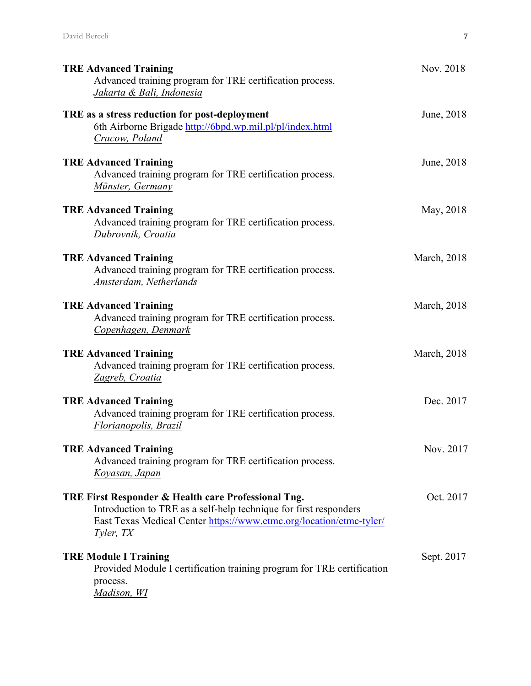| <b>TRE Advanced Training</b><br>Advanced training program for TRE certification process.<br>Jakarta & Bali, Indonesia                                                                                        | Nov. 2018   |
|--------------------------------------------------------------------------------------------------------------------------------------------------------------------------------------------------------------|-------------|
| TRE as a stress reduction for post-deployment<br>6th Airborne Brigade http://6bpd.wp.mil.pl/pl/index.html<br>Cracow, Poland                                                                                  | June, 2018  |
| <b>TRE Advanced Training</b><br>Advanced training program for TRE certification process.<br>Münster, Germany                                                                                                 | June, 2018  |
| <b>TRE Advanced Training</b><br>Advanced training program for TRE certification process.<br>Dubrovnik, Croatia                                                                                               | May, 2018   |
| <b>TRE Advanced Training</b><br>Advanced training program for TRE certification process.<br>Amsterdam, Netherlands                                                                                           | March, 2018 |
| <b>TRE Advanced Training</b><br>Advanced training program for TRE certification process.<br>Copenhagen, Denmark                                                                                              | March, 2018 |
| <b>TRE Advanced Training</b><br>Advanced training program for TRE certification process.<br>Zagreb, Croatia                                                                                                  | March, 2018 |
| <b>TRE Advanced Training</b><br>Advanced training program for TRE certification process.<br>Florianopolis, Brazil                                                                                            | Dec. 2017   |
| <b>TRE Advanced Training</b><br>Advanced training program for TRE certification process.<br>Koyasan, Japan                                                                                                   | Nov. 2017   |
| TRE First Responder & Health care Professional Tng.<br>Introduction to TRE as a self-help technique for first responders<br>East Texas Medical Center https://www.etmc.org/location/etmc-tyler/<br>Tyler, TX | Oct. 2017   |
| <b>TRE Module I Training</b><br>Provided Module I certification training program for TRE certification<br>process.<br>Madison, WI                                                                            | Sept. 2017  |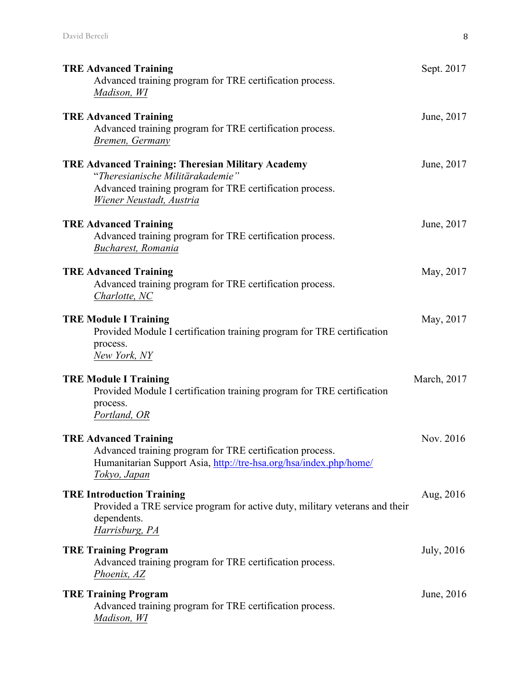| <b>TRE Advanced Training</b><br>Advanced training program for TRE certification process.<br>Madison, WI                                                                              | Sept. 2017  |
|--------------------------------------------------------------------------------------------------------------------------------------------------------------------------------------|-------------|
| <b>TRE Advanced Training</b><br>Advanced training program for TRE certification process.<br>Bremen, Germany                                                                          | June, 2017  |
| <b>TRE Advanced Training: Theresian Military Academy</b><br>"Theresianische Militärakademie"<br>Advanced training program for TRE certification process.<br>Wiener Neustadt, Austria | June, 2017  |
| <b>TRE Advanced Training</b><br>Advanced training program for TRE certification process.<br>Bucharest, Romania                                                                       | June, 2017  |
| <b>TRE Advanced Training</b><br>Advanced training program for TRE certification process.<br>Charlotte, NC                                                                            | May, 2017   |
| <b>TRE Module I Training</b><br>Provided Module I certification training program for TRE certification<br>process.<br>New York, NY                                                   | May, 2017   |
| <b>TRE Module I Training</b><br>Provided Module I certification training program for TRE certification<br>process.<br>Portland, OR                                                   | March, 2017 |
| <b>TRE Advanced Training</b><br>Advanced training program for TRE certification process.<br>Humanitarian Support Asia, http://tre-hsa.org/hsa/index.php/home/<br>Tokyo, Japan        | Nov. 2016   |
| <b>TRE Introduction Training</b><br>Provided a TRE service program for active duty, military veterans and their<br>dependents.<br>Harrisburg, PA                                     | Aug, 2016   |
| <b>TRE Training Program</b><br>Advanced training program for TRE certification process.<br>Phoenix, AZ                                                                               | July, 2016  |
| <b>TRE Training Program</b><br>Advanced training program for TRE certification process.<br>Madison, WI                                                                               | June, 2016  |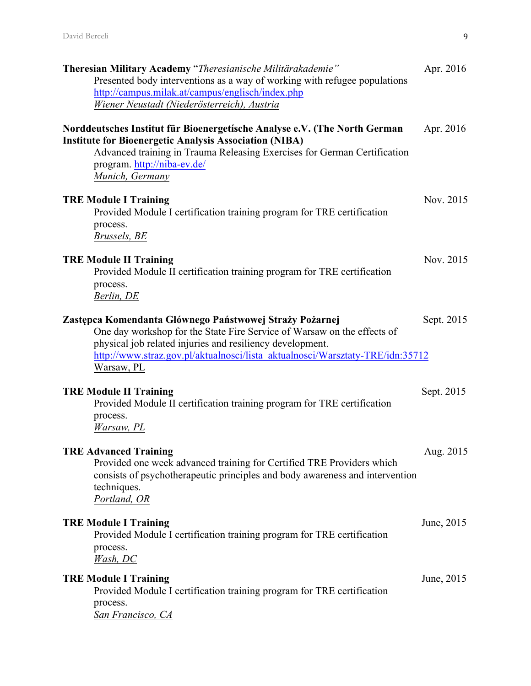| Theresian Military Academy "Theresianische Militärakademie"<br>Presented body interventions as a way of working with refugee populations<br>http://campus.milak.at/campus/englisch/index.php<br>Wiener Neustadt (Niederösterreich), Austria                                                    | Apr. 2016  |
|------------------------------------------------------------------------------------------------------------------------------------------------------------------------------------------------------------------------------------------------------------------------------------------------|------------|
| Norddeutsches Institut für Bioenergetische Analyse e.V. (The North German<br><b>Institute for Bioenergetic Analysis Association (NIBA)</b><br>Advanced training in Trauma Releasing Exercises for German Certification<br>program. http://niba-ev.de/<br>Munich, Germany                       | Apr. 2016  |
| <b>TRE Module I Training</b><br>Provided Module I certification training program for TRE certification<br>process.<br>Brussels, BE                                                                                                                                                             | Nov. 2015  |
| <b>TRE Module II Training</b><br>Provided Module II certification training program for TRE certification<br>process.<br>Berlin, DE                                                                                                                                                             | Nov. 2015  |
| Zastępca Komendanta Głównego Państwowej Straży Pożarnej<br>One day workshop for the State Fire Service of Warsaw on the effects of<br>physical job related injuries and resiliency development.<br>http://www.straz.gov.pl/aktualnosci/lista aktualnosci/Warsztaty-TRE/idn:35712<br>Warsaw, PL | Sept. 2015 |
| <b>TRE Module II Training</b><br>Provided Module II certification training program for TRE certification<br>process.<br>Warsaw, PL                                                                                                                                                             | Sept. 2015 |
| <b>TRE Advanced Training</b><br>Provided one week advanced training for Certified TRE Providers which<br>consists of psychotherapeutic principles and body awareness and intervention<br>techniques.<br>Portland, OR                                                                           | Aug. 2015  |
| <b>TRE Module I Training</b><br>Provided Module I certification training program for TRE certification<br>process.<br><i>Wash, DC</i>                                                                                                                                                          | June, 2015 |
| <b>TRE Module I Training</b><br>Provided Module I certification training program for TRE certification<br>process.<br>San Francisco, CA                                                                                                                                                        | June, 2015 |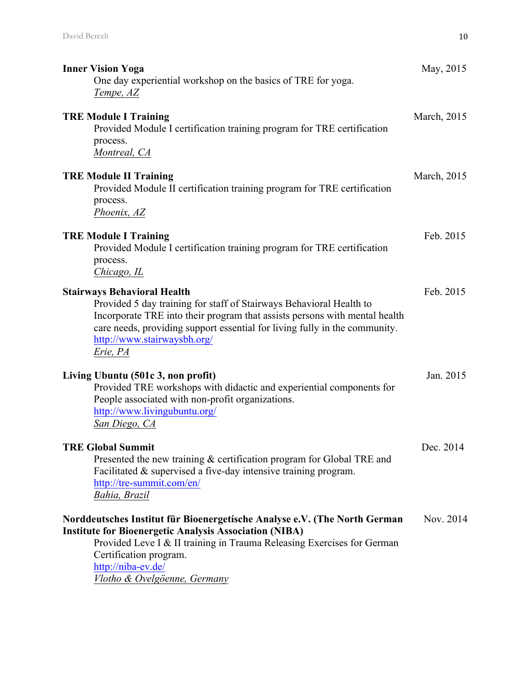| <b>Inner Vision Yoga</b><br>One day experiential workshop on the basics of TRE for yoga.<br>Tempe, AZ                                                                                                                                                                                                            | May, 2015   |
|------------------------------------------------------------------------------------------------------------------------------------------------------------------------------------------------------------------------------------------------------------------------------------------------------------------|-------------|
| <b>TRE Module I Training</b><br>Provided Module I certification training program for TRE certification<br>process.<br>Montreal, CA                                                                                                                                                                               | March, 2015 |
| <b>TRE Module II Training</b><br>Provided Module II certification training program for TRE certification<br>process.<br>Phoenix, AZ                                                                                                                                                                              | March, 2015 |
| <b>TRE Module I Training</b><br>Provided Module I certification training program for TRE certification<br>process.<br>Chicago, IL                                                                                                                                                                                | Feb. 2015   |
| <b>Stairways Behavioral Health</b><br>Provided 5 day training for staff of Stairways Behavioral Health to<br>Incorporate TRE into their program that assists persons with mental health<br>care needs, providing support essential for living fully in the community.<br>http://www.stairwaysbh.org/<br>Erie, PA | Feb. 2015   |
| Living Ubuntu (501c 3, non profit)<br>Provided TRE workshops with didactic and experiential components for<br>People associated with non-profit organizations.<br>http://www.livingubuntu.org/<br>San Diego, CA                                                                                                  | Jan. 2015   |
| <b>TRE Global Summit</b><br>Presented the new training & certification program for Global TRE and<br>Facilitated & supervised a five-day intensive training program.<br>http://tre-summit.com/en/<br>Bahia, Brazil                                                                                               | Dec. 2014   |
| Norddeutsches Institut für Bioenergetische Analyse e.V. (The North German<br><b>Institute for Bioenergetic Analysis Association (NIBA)</b><br>Provided Leve I & II training in Trauma Releasing Exercises for German<br>Certification program.<br>http://niba-ev.de/<br>Vlotho & Ovelgöenne, Germany             | Nov. 2014   |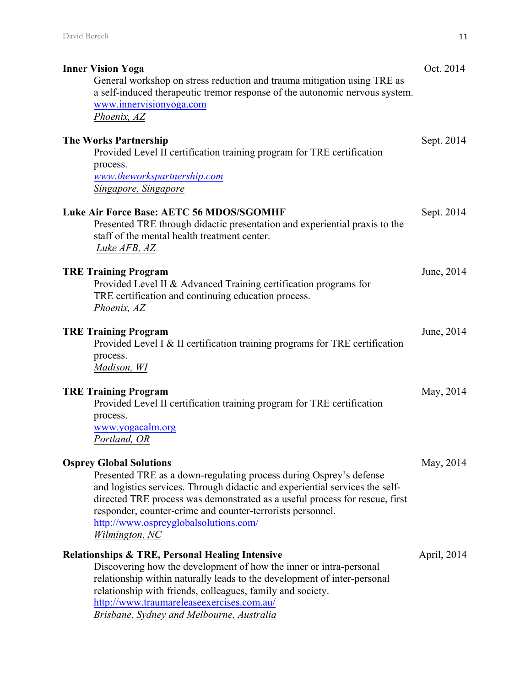| <b>Inner Vision Yoga</b><br>General workshop on stress reduction and trauma mitigation using TRE as<br>a self-induced therapeutic tremor response of the autonomic nervous system.<br>www.innervisionyoga.com<br>Phoenix, AZ                                                                                                                                                                 | Oct. 2014   |
|----------------------------------------------------------------------------------------------------------------------------------------------------------------------------------------------------------------------------------------------------------------------------------------------------------------------------------------------------------------------------------------------|-------------|
| <b>The Works Partnership</b><br>Provided Level II certification training program for TRE certification<br>process.<br>www.theworkspartnership.com                                                                                                                                                                                                                                            | Sept. 2014  |
| Singapore, Singapore<br><b>Luke Air Force Base: AETC 56 MDOS/SGOMHF</b><br>Presented TRE through didactic presentation and experiential praxis to the<br>staff of the mental health treatment center.<br>Luke AFB, AZ                                                                                                                                                                        | Sept. 2014  |
| <b>TRE Training Program</b><br>Provided Level II & Advanced Training certification programs for<br>TRE certification and continuing education process.<br>Phoenix, AZ                                                                                                                                                                                                                        | June, 2014  |
| <b>TRE Training Program</b><br>Provided Level I & II certification training programs for TRE certification<br>process.<br>Madison, WI                                                                                                                                                                                                                                                        | June, 2014  |
| <b>TRE Training Program</b><br>Provided Level II certification training program for TRE certification<br>process.<br>www.yogacalm.org<br>Portland, OR                                                                                                                                                                                                                                        | May, 2014   |
| <b>Osprey Global Solutions</b><br>Presented TRE as a down-regulating process during Osprey's defense<br>and logistics services. Through didactic and experiential services the self-<br>directed TRE process was demonstrated as a useful process for rescue, first<br>responder, counter-crime and counter-terrorists personnel.<br>http://www.ospreyglobalsolutions.com/<br>Wilmington, NC | May, 2014   |
| <b>Relationships &amp; TRE, Personal Healing Intensive</b><br>Discovering how the development of how the inner or intra-personal<br>relationship within naturally leads to the development of inter-personal<br>relationship with friends, colleagues, family and society.<br>http://www.traumareleaseexercises.com.au/<br>Brisbane, Sydney and Melbourne, Australia                         | April, 2014 |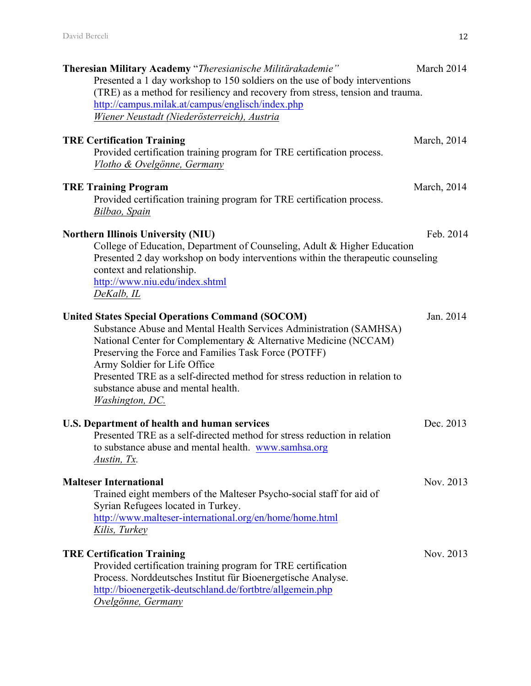| Theresian Military Academy "Theresianische Militärakademie"<br>Presented a 1 day workshop to 150 soldiers on the use of body interventions<br>(TRE) as a method for resiliency and recovery from stress, tension and trauma.<br>http://campus.milak.at/campus/englisch/index.php<br>Wiener Neustadt (Niederösterreich), Austria                                                                                                           | March 2014  |
|-------------------------------------------------------------------------------------------------------------------------------------------------------------------------------------------------------------------------------------------------------------------------------------------------------------------------------------------------------------------------------------------------------------------------------------------|-------------|
| <b>TRE Certification Training</b><br>Provided certification training program for TRE certification process.<br>Vlotho & Ovelgönne, Germany                                                                                                                                                                                                                                                                                                | March, 2014 |
| <b>TRE Training Program</b><br>Provided certification training program for TRE certification process.<br>Bilbao, Spain                                                                                                                                                                                                                                                                                                                    | March, 2014 |
| <b>Northern Illinois University (NIU)</b><br>College of Education, Department of Counseling, Adult & Higher Education<br>Presented 2 day workshop on body interventions within the therapeutic counseling<br>context and relationship.<br>http://www.niu.edu/index.shtml<br>DeKalb, IL                                                                                                                                                    | Feb. 2014   |
| <b>United States Special Operations Command (SOCOM)</b><br>Substance Abuse and Mental Health Services Administration (SAMHSA)<br>National Center for Complementary & Alternative Medicine (NCCAM)<br>Preserving the Force and Families Task Force (POTFF)<br>Army Soldier for Life Office<br>Presented TRE as a self-directed method for stress reduction in relation to<br>substance abuse and mental health.<br><b>Washington</b> , DC. | Jan. 2014   |
| U.S. Department of health and human services<br>Presented TRE as a self-directed method for stress reduction in relation<br>to substance abuse and mental health. www.samhsa.org<br>Austin, Tx.                                                                                                                                                                                                                                           | Dec. 2013   |
| <b>Malteser International</b><br>Trained eight members of the Malteser Psycho-social staff for aid of<br>Syrian Refugees located in Turkey.<br>http://www.malteser-international.org/en/home/home.html<br>Kilis, Turkey                                                                                                                                                                                                                   | Nov. 2013   |
| <b>TRE Certification Training</b><br>Provided certification training program for TRE certification<br>Process. Norddeutsches Institut für Bioenergetische Analyse.<br>http://bioenergetik-deutschland.de/fortbtre/allgemein.php<br>Ovelgönne, Germany                                                                                                                                                                                     | Nov. 2013   |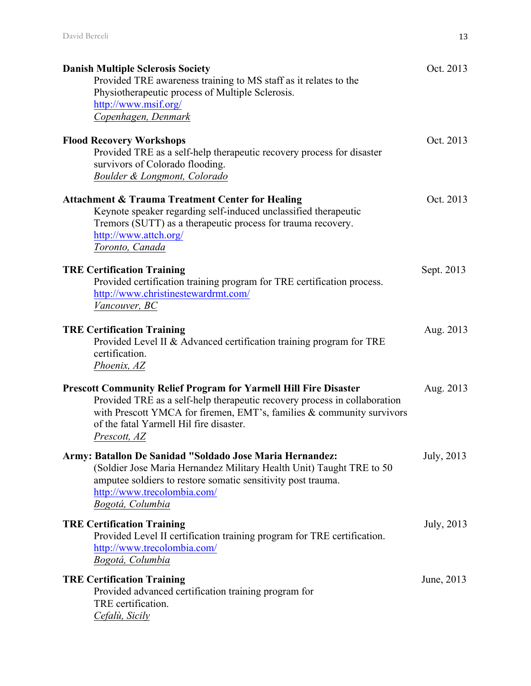| <b>Danish Multiple Sclerosis Society</b><br>Provided TRE awareness training to MS staff as it relates to the<br>Physiotherapeutic process of Multiple Sclerosis.<br>http://www.msif.org/<br>Copenhagen, Denmark                                                                          | Oct. 2013  |
|------------------------------------------------------------------------------------------------------------------------------------------------------------------------------------------------------------------------------------------------------------------------------------------|------------|
| <b>Flood Recovery Workshops</b><br>Provided TRE as a self-help therapeutic recovery process for disaster<br>survivors of Colorado flooding.<br>Boulder & Longmont, Colorado                                                                                                              | Oct. 2013  |
| <b>Attachment &amp; Trauma Treatment Center for Healing</b><br>Keynote speaker regarding self-induced unclassified therapeutic<br>Tremors (SUTT) as a therapeutic process for trauma recovery.<br>http://www.attch.org/<br>Toronto, Canada                                               | Oct. 2013  |
| <b>TRE Certification Training</b><br>Provided certification training program for TRE certification process.<br>http://www.christinestewardrmt.com/<br>Vancouver, BC                                                                                                                      | Sept. 2013 |
| <b>TRE Certification Training</b><br>Provided Level II & Advanced certification training program for TRE<br>certification.<br>Phoenix, AZ                                                                                                                                                | Aug. 2013  |
| <b>Prescott Community Relief Program for Yarmell Hill Fire Disaster</b><br>Provided TRE as a self-help therapeutic recovery process in collaboration<br>with Prescott YMCA for firemen, EMT's, families & community survivors<br>of the fatal Yarmell Hil fire disaster.<br>Prescott, AZ | Aug. 2013  |
| Army: Batallon De Sanidad "Soldado Jose Maria Hernandez:<br>(Soldier Jose Maria Hernandez Military Health Unit) Taught TRE to 50<br>amputee soldiers to restore somatic sensitivity post trauma.<br>http://www.trecolombia.com/<br>Bogotá, Columbia                                      | July, 2013 |
| <b>TRE Certification Training</b><br>Provided Level II certification training program for TRE certification.<br>http://www.trecolombia.com/<br>Bogotá, Columbia                                                                                                                          | July, 2013 |
| <b>TRE Certification Training</b><br>Provided advanced certification training program for<br>TRE certification.<br>Cefalù, Sicily                                                                                                                                                        | June, 2013 |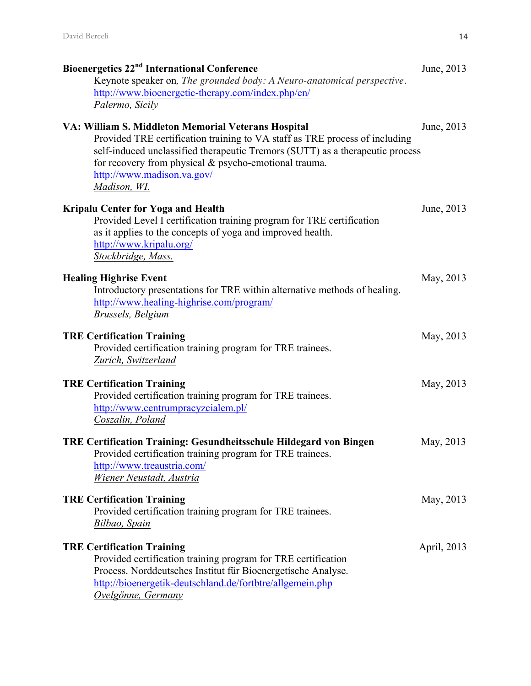| Bioenergetics 22 <sup>nd</sup> International Conference                                                                                                                                                                                                             | June, 2013  |
|---------------------------------------------------------------------------------------------------------------------------------------------------------------------------------------------------------------------------------------------------------------------|-------------|
| Keynote speaker on, The grounded body: A Neuro-anatomical perspective.                                                                                                                                                                                              |             |
| http://www.bioenergetic-therapy.com/index.php/en/                                                                                                                                                                                                                   |             |
| Palermo, Sicily                                                                                                                                                                                                                                                     |             |
| VA: William S. Middleton Memorial Veterans Hospital                                                                                                                                                                                                                 | June, 2013  |
| Provided TRE certification training to VA staff as TRE process of including<br>self-induced unclassified therapeutic Tremors (SUTT) as a therapeutic process<br>for recovery from physical & psycho-emotional trauma.<br>http://www.madison.va.gov/<br>Madison, WI. |             |
| <b>Kripalu Center for Yoga and Health</b><br>Provided Level I certification training program for TRE certification<br>as it applies to the concepts of yoga and improved health.<br>http://www.kripalu.org/<br>Stockbridge, Mass.                                   | June, 2013  |
| <b>Healing Highrise Event</b><br>Introductory presentations for TRE within alternative methods of healing.<br>http://www.healing-highrise.com/program/<br>Brussels, Belgium                                                                                         | May, 2013   |
| <b>TRE Certification Training</b><br>Provided certification training program for TRE trainees.<br>Zurich, Switzerland                                                                                                                                               | May, 2013   |
| <b>TRE Certification Training</b><br>Provided certification training program for TRE trainees.<br>http://www.centrumpracyzcialem.pl/<br>Coszalin, Poland                                                                                                            | May, 2013   |
| <b>TRE Certification Training: Gesundheitsschule Hildegard von Bingen</b><br>Provided certification training program for TRE trainees.<br>http://www.treaustria.com/<br>Wiener Neustadt, Austria                                                                    | May, 2013   |
| <b>TRE Certification Training</b><br>Provided certification training program for TRE trainees.<br>Bilbao, Spain                                                                                                                                                     | May, 2013   |
| <b>TRE Certification Training</b><br>Provided certification training program for TRE certification<br>Process. Norddeutsches Institut für Bioenergetische Analyse.<br>http://bioenergetik-deutschland.de/fortbtre/allgemein.php<br>Ovelgönne, Germany               | April, 2013 |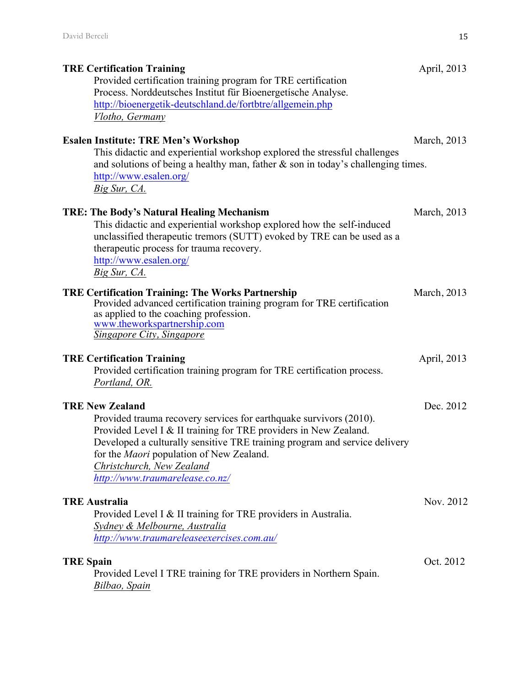| <b>TRE Certification Training</b><br>Provided certification training program for TRE certification<br>Process. Norddeutsches Institut für Bioenergetische Analyse.<br>http://bioenergetik-deutschland.de/fortbtre/allgemein.php                                                                                                                                   | April, 2013 |
|-------------------------------------------------------------------------------------------------------------------------------------------------------------------------------------------------------------------------------------------------------------------------------------------------------------------------------------------------------------------|-------------|
| Vlotho, Germany<br><b>Esalen Institute: TRE Men's Workshop</b><br>This didactic and experiential workshop explored the stressful challenges<br>and solutions of being a healthy man, father $\&$ son in today's challenging times.<br>http://www.esalen.org/<br>Big Sur, CA.                                                                                      | March, 2013 |
| <b>TRE: The Body's Natural Healing Mechanism</b><br>This didactic and experiential workshop explored how the self-induced<br>unclassified therapeutic tremors (SUTT) evoked by TRE can be used as a<br>therapeutic process for trauma recovery.<br>http://www.esalen.org/<br>Big Sur, CA.                                                                         | March, 2013 |
| <b>TRE Certification Training: The Works Partnership</b><br>Provided advanced certification training program for TRE certification<br>as applied to the coaching profession.<br>www.theworkspartnership.com<br><b>Singapore City, Singapore</b>                                                                                                                   | March, 2013 |
| <b>TRE Certification Training</b><br>Provided certification training program for TRE certification process.<br>Portland, OR.                                                                                                                                                                                                                                      | April, 2013 |
| <b>TRE New Zealand</b><br>Provided trauma recovery services for earthquake survivors (2010).<br>Provided Level I & II training for TRE providers in New Zealand.<br>Developed a culturally sensitive TRE training program and service delivery<br>for the <i>Maori</i> population of New Zealand.<br>Christchurch, New Zealand<br>http://www.traumarelease.co.nz/ | Dec. 2012   |
| <b>TRE Australia</b><br>Provided Level I & II training for TRE providers in Australia.<br>Sydney & Melbourne, Australia<br>http://www.traumareleaseexercises.com.au/                                                                                                                                                                                              | Nov. 2012   |
| <b>TRE Spain</b><br>Provided Level I TRE training for TRE providers in Northern Spain.<br>Bilbao, Spain                                                                                                                                                                                                                                                           | Oct. 2012   |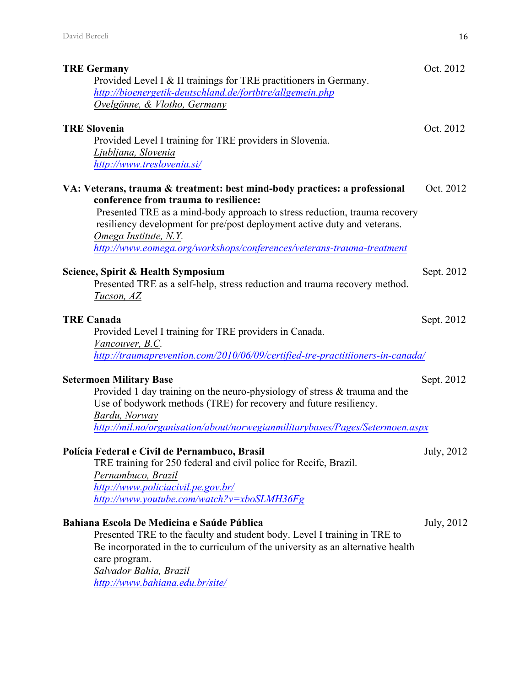| <b>TRE Germany</b><br>Provided Level I & II trainings for TRE practitioners in Germany.<br>http://bioenergetik-deutschland.de/fortbtre/allgemein.php<br>Ovelgönne, & Vlotho, Germany                                                                                                                                                                                            | Oct. 2012  |
|---------------------------------------------------------------------------------------------------------------------------------------------------------------------------------------------------------------------------------------------------------------------------------------------------------------------------------------------------------------------------------|------------|
| <b>TRE Slovenia</b><br>Provided Level I training for TRE providers in Slovenia.<br>Ljubljana, Slovenia<br>http://www.treslovenia.si/                                                                                                                                                                                                                                            | Oct. 2012  |
| VA: Veterans, trauma & treatment: best mind-body practices: a professional<br>conference from trauma to resilience:<br>Presented TRE as a mind-body approach to stress reduction, trauma recovery<br>resiliency development for pre/post deployment active duty and veterans.<br>Omega Institute, N.Y.<br>http://www.eomega.org/workshops/conferences/veterans-trauma-treatment | Oct. 2012  |
| Science, Spirit & Health Symposium<br>Presented TRE as a self-help, stress reduction and trauma recovery method.<br>Tucson, AZ                                                                                                                                                                                                                                                  | Sept. 2012 |
| <b>TRE Canada</b><br>Provided Level I training for TRE providers in Canada.<br>Vancouver, B.C.<br>http://traumaprevention.com/2010/06/09/certified-tre-practitiioners-in-canada/                                                                                                                                                                                                | Sept. 2012 |
| <b>Setermoen Military Base</b><br>Provided 1 day training on the neuro-physiology of stress & trauma and the<br>Use of bodywork methods (TRE) for recovery and future resiliency.<br>Bardu, Norway<br>http://mil.no/organisation/about/norwegianmilitarybases/Pages/Setermoen.aspx                                                                                              | Sept. 2012 |
| Polícia Federal e Civil de Pernambuco, Brasil<br>TRE training for 250 federal and civil police for Recife, Brazil.<br>Pernambuco, Brazil<br>http://www.policiacivil.pe.gov.br/<br>http://www.youtube.com/watch?v=xboSLMH36Fg                                                                                                                                                    | July, 2012 |
| Bahiana Escola De Medicina e Saúde Pública<br>Presented TRE to the faculty and student body. Level I training in TRE to<br>Be incorporated in the to curriculum of the university as an alternative health<br>care program.<br>Salvador Bahia, Brazil<br>http://www.bahiana.edu.br/site/                                                                                        | July, 2012 |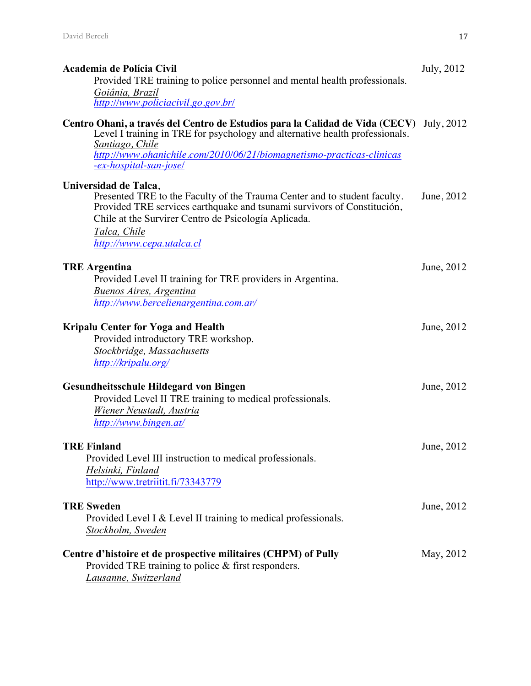| Academia de Polícia Civil                                                                                                                                                                                                                                | July, 2012 |
|----------------------------------------------------------------------------------------------------------------------------------------------------------------------------------------------------------------------------------------------------------|------------|
| Provided TRE training to police personnel and mental health professionals.                                                                                                                                                                               |            |
| Goiânia, Brazil<br>http://www.policiacivil.go.gov.br/                                                                                                                                                                                                    |            |
| Centro Ohani, a través del Centro de Estudios para la Calidad de Vida (CECV)<br>Level I training in TRE for psychology and alternative health professionals.<br>Santiago, Chile<br>http://www.ohanichile.com/2010/06/21/biomagnetismo-practicas-clinicas | July, 2012 |
| -ex-hospital-san-jose/                                                                                                                                                                                                                                   |            |
| Universidad de Talca,<br>Presented TRE to the Faculty of the Trauma Center and to student faculty.<br>Provided TRE services earthquake and tsunami survivors of Constitución,<br>Chile at the Survirer Centro de Psicología Aplicada.<br>Talca, Chile    | June, 2012 |
| http://www.cepa.utalca.cl                                                                                                                                                                                                                                |            |
| <b>TRE Argentina</b><br>Provided Level II training for TRE providers in Argentina.<br>Buenos Aires, Argentina<br>http://www.bercelienargentina.com.ar/                                                                                                   | June, 2012 |
|                                                                                                                                                                                                                                                          |            |
| <b>Kripalu Center for Yoga and Health</b><br>Provided introductory TRE workshop.<br>Stockbridge, Massachusetts<br>http://kripalu.org/                                                                                                                    | June, 2012 |
| <b>Gesundheitsschule Hildegard von Bingen</b>                                                                                                                                                                                                            | June, 2012 |
| Provided Level II TRE training to medical professionals.<br>Wiener Neustadt, Austria<br>http://www.bingen.at/                                                                                                                                            |            |
| <b>TRE Finland</b><br>Provided Level III instruction to medical professionals.<br>Helsinki, Finland<br>http://www.tretriitit.fi/73343779                                                                                                                 | June, 2012 |
|                                                                                                                                                                                                                                                          |            |
| <b>TRE Sweden</b><br>Provided Level I & Level II training to medical professionals.<br>Stockholm, Sweden                                                                                                                                                 | June, 2012 |
| Centre d'histoire et de prospective militaires (CHPM) of Pully<br>Provided TRE training to police $&$ first responders.<br>Lausanne, Switzerland                                                                                                         | May, 2012  |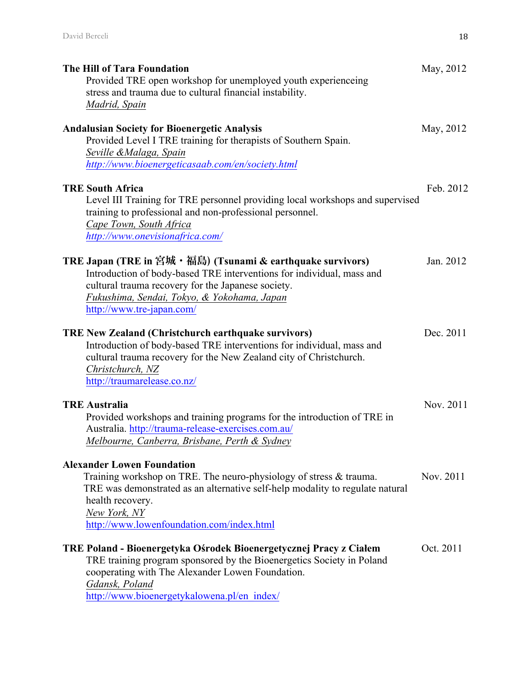| <b>The Hill of Tara Foundation</b><br>Provided TRE open workshop for unemployed youth experienceing<br>stress and trauma due to cultural financial instability.<br><b>Madrid</b> , Spain                                                                                  | May, 2012 |
|---------------------------------------------------------------------------------------------------------------------------------------------------------------------------------------------------------------------------------------------------------------------------|-----------|
| <b>Andalusian Society for Bioenergetic Analysis</b><br>Provided Level I TRE training for therapists of Southern Spain.<br>Seville & Malaga, Spain<br>http://www.bioenergeticasaab.com/en/society.html                                                                     | May, 2012 |
| <b>TRE South Africa</b><br>Level III Training for TRE personnel providing local workshops and supervised<br>training to professional and non-professional personnel.<br>Cape Town, South Africa<br>http://www.onevisionafrica.com/                                        | Feb. 2012 |
| TRE Japan (TRE in 宮城・福島) (Tsunami & earthquake survivors)<br>Introduction of body-based TRE interventions for individual, mass and<br>cultural trauma recovery for the Japanese society.<br>Fukushima, Sendai, Tokyo, & Yokohama, Japan<br>http://www.tre-japan.com/      | Jan. 2012 |
| <b>TRE New Zealand (Christchurch earthquake survivors)</b><br>Introduction of body-based TRE interventions for individual, mass and<br>cultural trauma recovery for the New Zealand city of Christchurch.<br>Christchurch, NZ<br>http://traumarelease.co.nz/              | Dec. 2011 |
| <b>TRE Australia</b><br>Provided workshops and training programs for the introduction of TRE in<br>Australia. http://trauma-release-exercises.com.au/<br>Melbourne, Canberra, Brisbane, Perth & Sydney                                                                    | Nov. 2011 |
| <b>Alexander Lowen Foundation</b><br>Training workshop on TRE. The neuro-physiology of stress & trauma.<br>TRE was demonstrated as an alternative self-help modality to regulate natural<br>health recovery.<br>New York, NY<br>http://www.lowenfoundation.com/index.html | Nov. 2011 |
| TRE Poland - Bioenergetyka Ośrodek Bioenergetycznej Pracy z Ciałem<br>TRE training program sponsored by the Bioenergetics Society in Poland<br>cooperating with The Alexander Lowen Foundation.<br>Gdansk, Poland<br>http://www.bioenergetykalowena.pl/en index/          | Oct. 2011 |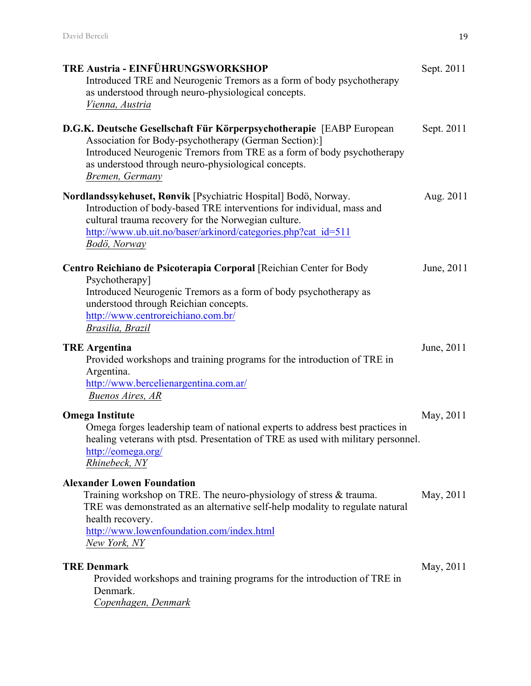| <b>TRE Austria - EINFÜHRUNGSWORKSHOP</b><br>Introduced TRE and Neurogenic Tremors as a form of body psychotherapy<br>as understood through neuro-physiological concepts.<br>Vienna, Austria                                                                                        | Sept. 2011 |  |
|------------------------------------------------------------------------------------------------------------------------------------------------------------------------------------------------------------------------------------------------------------------------------------|------------|--|
| D.G.K. Deutsche Gesellschaft Für Körperpsychotherapie [EABP European]<br>Association for Body-psychotherapy (German Section):]<br>Introduced Neurogenic Tremors from TRE as a form of body psychotherapy<br>as understood through neuro-physiological concepts.<br>Bremen, Germany | Sept. 2011 |  |
| Nordlandssykehuset, Rønvik [Psychiatric Hospital] Bodö, Norway.<br>Introduction of body-based TRE interventions for individual, mass and<br>cultural trauma recovery for the Norwegian culture.<br>http://www.ub.uit.no/baser/arkinord/categories.php?cat_id=511<br>Bodö, Norway   | Aug. 2011  |  |
| Centro Reichiano de Psicoterapia Corporal [Reichian Center for Body<br>Psychotherapy]<br>Introduced Neurogenic Tremors as a form of body psychotherapy as<br>understood through Reichian concepts.<br>http://www.centroreichiano.com.br/<br>Brasilia, Brazil                       | June, 2011 |  |
| <b>TRE Argentina</b><br>Provided workshops and training programs for the introduction of TRE in<br>Argentina.<br>http://www.bercelienargentina.com.ar/<br>Buenos Aires, AR                                                                                                         | June, 2011 |  |
| <b>Omega Institute</b><br>Omega forges leadership team of national experts to address best practices in<br>healing veterans with ptsd. Presentation of TRE as used with military personnel.<br>http://eomega.org/<br>Rhinebeck, NY                                                 | May, 2011  |  |
| <b>Alexander Lowen Foundation</b><br>Training workshop on TRE. The neuro-physiology of stress & trauma.<br>TRE was demonstrated as an alternative self-help modality to regulate natural<br>health recovery.<br>http://www.lowenfoundation.com/index.html<br>New York, NY          | May, 2011  |  |
| <b>TRE Denmark</b><br>Provided workshops and training programs for the introduction of TRE in<br>Denmark.<br>Copenhagen, Denmark                                                                                                                                                   | May, 2011  |  |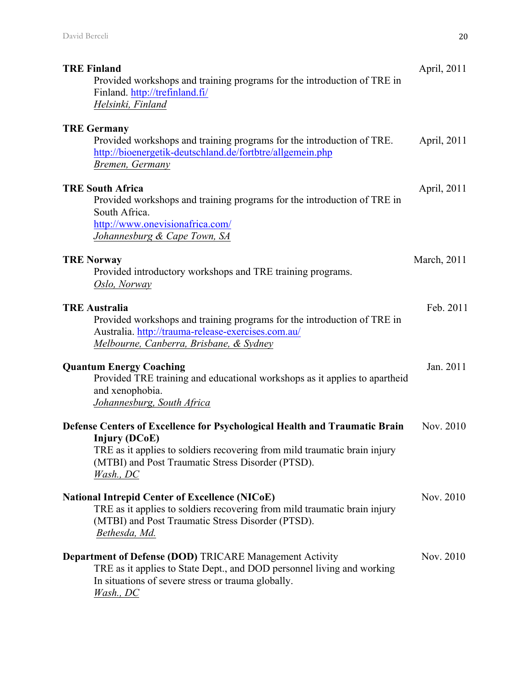| <b>TRE Finland</b><br>Provided workshops and training programs for the introduction of TRE in<br>Finland. http://trefinland.fi/<br>Helsinki, Finland                                                                                             | April, 2011 |
|--------------------------------------------------------------------------------------------------------------------------------------------------------------------------------------------------------------------------------------------------|-------------|
| <b>TRE Germany</b><br>Provided workshops and training programs for the introduction of TRE.<br>http://bioenergetik-deutschland.de/fortbtre/allgemein.php<br>Bremen, Germany                                                                      | April, 2011 |
| <b>TRE South Africa</b><br>Provided workshops and training programs for the introduction of TRE in<br>South Africa.<br>http://www.onevisionafrica.com/<br>Johannesburg & Cape Town, SA                                                           | April, 2011 |
| <b>TRE Norway</b><br>Provided introductory workshops and TRE training programs.<br>Oslo, Norway                                                                                                                                                  | March, 2011 |
| <b>TRE Australia</b><br>Provided workshops and training programs for the introduction of TRE in<br>Australia. http://trauma-release-exercises.com.au/<br>Melbourne, Canberra, Brisbane, & Sydney                                                 | Feb. 2011   |
| <b>Quantum Energy Coaching</b><br>Provided TRE training and educational workshops as it applies to apartheid<br>and xenophobia.<br>Johannesburg, South Africa                                                                                    | Jan. 2011   |
| Defense Centers of Excellence for Psychological Health and Traumatic Brain<br><b>Injury (DCoE)</b><br>TRE as it applies to soldiers recovering from mild traumatic brain injury<br>(MTBI) and Post Traumatic Stress Disorder (PTSD).<br>Wash. DC | Nov. 2010   |
| <b>National Intrepid Center of Excellence (NICoE)</b><br>TRE as it applies to soldiers recovering from mild traumatic brain injury<br>(MTBI) and Post Traumatic Stress Disorder (PTSD).<br>Bethesda, Md.                                         | Nov. 2010   |
| <b>Department of Defense (DOD) TRICARE Management Activity</b><br>TRE as it applies to State Dept., and DOD personnel living and working<br>In situations of severe stress or trauma globally.<br>Wash., DC                                      | Nov. 2010   |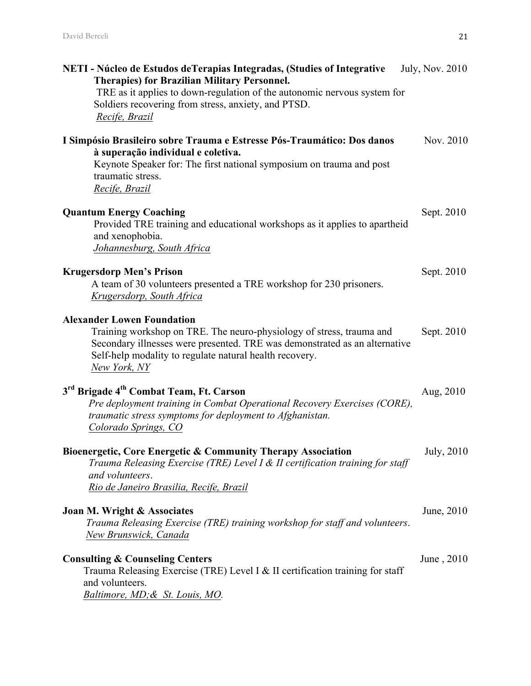| NETI - Núcleo de Estudos de Terapias Integradas, (Studies of Integrative<br><b>Therapies) for Brazilian Military Personnel.</b>                                                                                                                                    | <b>July, Nov. 2010</b> |
|--------------------------------------------------------------------------------------------------------------------------------------------------------------------------------------------------------------------------------------------------------------------|------------------------|
| TRE as it applies to down-regulation of the autonomic nervous system for<br>Soldiers recovering from stress, anxiety, and PTSD.<br>Recife, Brazil                                                                                                                  |                        |
| I Simpósio Brasileiro sobre Trauma e Estresse Pós-Traumático: Dos danos<br>à superação individual e coletiva.<br>Keynote Speaker for: The first national symposium on trauma and post<br>traumatic stress.<br>Recife, Brazil                                       | Nov. 2010              |
| <b>Quantum Energy Coaching</b><br>Provided TRE training and educational workshops as it applies to apartheid<br>and xenophobia.<br>Johannesburg, South Africa                                                                                                      | Sept. 2010             |
| <b>Krugersdorp Men's Prison</b><br>A team of 30 volunteers presented a TRE workshop for 230 prisoners.<br>Krugersdorp, South Africa                                                                                                                                | Sept. 2010             |
| <b>Alexander Lowen Foundation</b><br>Training workshop on TRE. The neuro-physiology of stress, trauma and<br>Secondary illnesses were presented. TRE was demonstrated as an alternative<br>Self-help modality to regulate natural health recovery.<br>New York, NY | Sept. 2010             |
| 3 <sup>rd</sup> Brigade 4 <sup>th</sup> Combat Team, Ft. Carson<br>Pre deployment training in Combat Operational Recovery Exercises (CORE),<br>traumatic stress symptoms for deployment to Afghanistan.<br>Colorado Springs, CO                                    | Aug, 2010              |
| Bioenergetic, Core Energetic & Community Therapy Association<br>Trauma Releasing Exercise (TRE) Level I & II certification training for staff<br>and volunteers.<br>Rio de Janeiro Brasilia, Recife, Brazil                                                        | <b>July</b> , 2010     |
| Joan M. Wright & Associates<br>Trauma Releasing Exercise (TRE) training workshop for staff and volunteers.<br>New Brunswick, Canada                                                                                                                                | June, 2010             |
| <b>Consulting &amp; Counseling Centers</b><br>Trauma Releasing Exercise (TRE) Level I & II certification training for staff<br>and volunteers.<br>Baltimore, MD; & St. Louis, MO.                                                                                  | June, 2010             |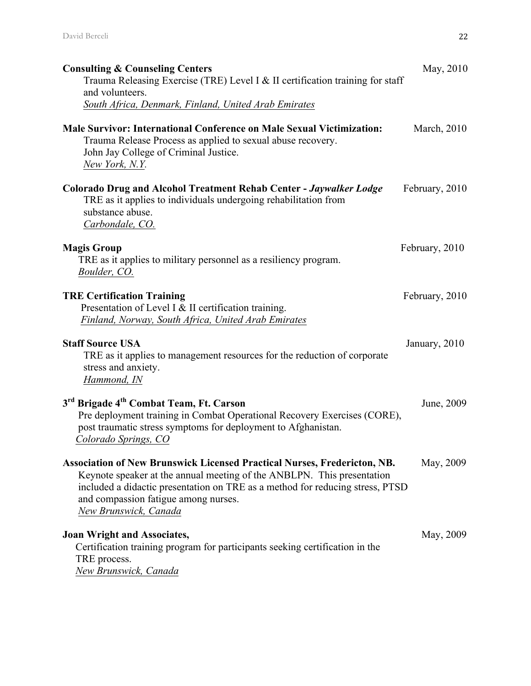| <b>Consulting &amp; Counseling Centers</b><br>Trauma Releasing Exercise (TRE) Level I & II certification training for staff<br>and volunteers.                                                                                                                                                              | May, 2010      |
|-------------------------------------------------------------------------------------------------------------------------------------------------------------------------------------------------------------------------------------------------------------------------------------------------------------|----------------|
| South Africa, Denmark, Finland, United Arab Emirates                                                                                                                                                                                                                                                        |                |
| <b>Male Survivor: International Conference on Male Sexual Victimization:</b><br>Trauma Release Process as applied to sexual abuse recovery.<br>John Jay College of Criminal Justice.<br>New York, N.Y.                                                                                                      | March, 2010    |
| <b>Colorado Drug and Alcohol Treatment Rehab Center - Jaywalker Lodge</b><br>TRE as it applies to individuals undergoing rehabilitation from<br>substance abuse.<br>Carbondale, CO.                                                                                                                         | February, 2010 |
| <b>Magis Group</b><br>TRE as it applies to military personnel as a resiliency program.<br>Boulder, CO.                                                                                                                                                                                                      | February, 2010 |
| <b>TRE Certification Training</b><br>Presentation of Level I & II certification training.<br>Finland, Norway, South Africa, United Arab Emirates                                                                                                                                                            | February, 2010 |
| <b>Staff Source USA</b><br>TRE as it applies to management resources for the reduction of corporate<br>stress and anxiety.<br>Hammond, IN                                                                                                                                                                   | January, 2010  |
| 3 <sup>rd</sup> Brigade 4 <sup>th</sup> Combat Team, Ft. Carson<br>Pre deployment training in Combat Operational Recovery Exercises (CORE),<br>post traumatic stress symptoms for deployment to Afghanistan.<br>Colorado Springs, CO                                                                        | June, 2009     |
| <b>Association of New Brunswick Licensed Practical Nurses, Fredericton, NB.</b><br>Keynote speaker at the annual meeting of the ANBLPN. This presentation<br>included a didactic presentation on TRE as a method for reducing stress, PTSD<br>and compassion fatigue among nurses.<br>New Brunswick, Canada | May, 2009      |
| <b>Joan Wright and Associates,</b><br>Certification training program for participants seeking certification in the<br>TRE process.<br>New Brunswick, Canada                                                                                                                                                 | May, 2009      |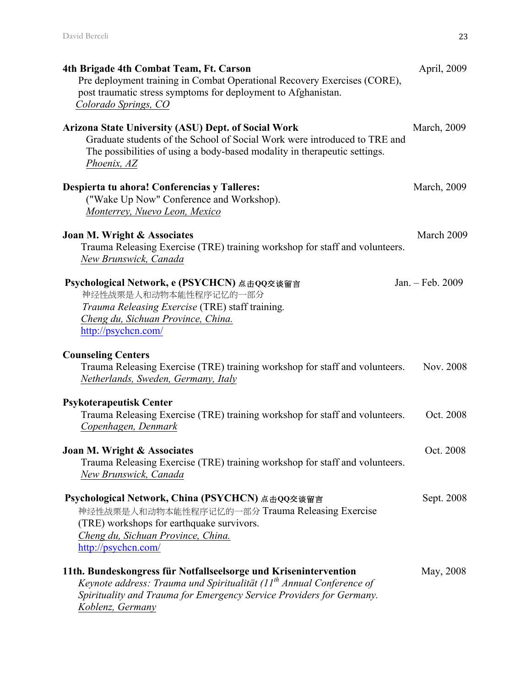| 4th Brigade 4th Combat Team, Ft. Carson<br>Pre deployment training in Combat Operational Recovery Exercises (CORE),<br>post traumatic stress symptoms for deployment to Afghanistan.<br>Colorado Springs, CO                           | April, 2009      |
|----------------------------------------------------------------------------------------------------------------------------------------------------------------------------------------------------------------------------------------|------------------|
| <b>Arizona State University (ASU) Dept. of Social Work</b><br>Graduate students of the School of Social Work were introduced to TRE and<br>The possibilities of using a body-based modality in the rapeutic settings.<br>Phoenix, AZ   | March, 2009      |
| Despierta tu ahora! Conferencias y Talleres:<br>("Wake Up Now" Conference and Workshop).<br>Monterrey, Nuevo Leon, Mexico                                                                                                              | March, 2009      |
| Joan M. Wright & Associates<br>Trauma Releasing Exercise (TRE) training workshop for staff and volunteers.<br>New Brunswick, Canada                                                                                                    | March 2009       |
| Psychological Network, e (PSYCHCN) 点击QQ交谈留言<br>神经性战栗是人和动物本能性程序记忆的一部分<br>Trauma Releasing Exercise (TRE) staff training.<br>Cheng du, Sichuan Province, China.<br>http://psychcn.com/                                                   | Jan. - Feb. 2009 |
| <b>Counseling Centers</b><br>Trauma Releasing Exercise (TRE) training workshop for staff and volunteers.<br>Netherlands, Sweden, Germany, Italy                                                                                        | Nov. 2008        |
| <b>Psykoterapeutisk Center</b><br>Trauma Releasing Exercise (TRE) training workshop for staff and volunteers.<br>Copenhagen, Denmark                                                                                                   | Oct. 2008        |
| Joan M. Wright & Associates<br>Trauma Releasing Exercise (TRE) training workshop for staff and volunteers.<br>New Brunswick, Canada                                                                                                    | Oct. 2008        |
| Psychological Network, China (PSYCHCN) 点击QQ交谈留言<br>神经性战栗是人和动物本能性程序记忆的一部分 Trauma Releasing Exercise<br>(TRE) workshops for earthquake survivors.<br>Cheng du, Sichuan Province, China.<br>http://psychcn.com/                           | Sept. 2008       |
| 11th. Bundeskongress für Notfallseelsorge und Krisenintervention<br>Keynote address: Trauma und Spiritualität $(11th$ Annual Conference of<br>Spirituality and Trauma for Emergency Service Providers for Germany.<br>Koblenz, Germany | May, 2008        |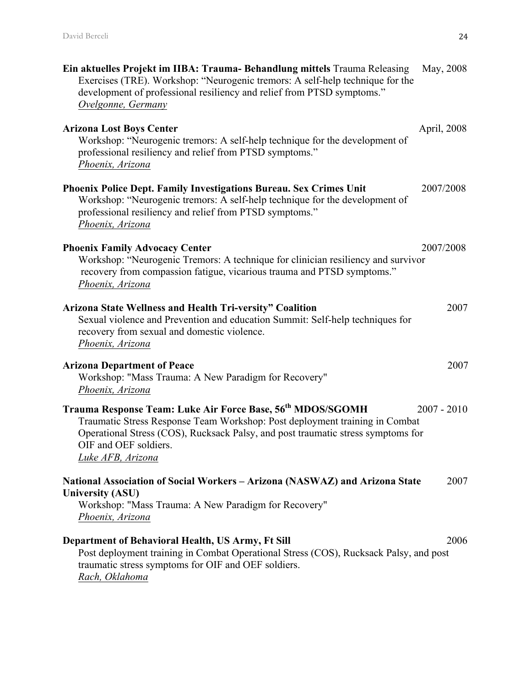| Ein aktuelles Projekt im IIBA: Trauma-Behandlung mittels Trauma Releasing<br>Exercises (TRE). Workshop: "Neurogenic tremors: A self-help technique for the<br>development of professional resiliency and relief from PTSD symptoms."<br>Ovelgonne, Germany                              | May, 2008     |
|-----------------------------------------------------------------------------------------------------------------------------------------------------------------------------------------------------------------------------------------------------------------------------------------|---------------|
| <b>Arizona Lost Boys Center</b><br>Workshop: "Neurogenic tremors: A self-help technique for the development of<br>professional resiliency and relief from PTSD symptoms."<br>Phoenix, Arizona                                                                                           | April, 2008   |
| <b>Phoenix Police Dept. Family Investigations Bureau. Sex Crimes Unit</b><br>Workshop: "Neurogenic tremors: A self-help technique for the development of<br>professional resiliency and relief from PTSD symptoms."<br>Phoenix, Arizona                                                 | 2007/2008     |
| <b>Phoenix Family Advocacy Center</b><br>Workshop: "Neurogenic Tremors: A technique for clinician resiliency and survivor<br>recovery from compassion fatigue, vicarious trauma and PTSD symptoms."<br>Phoenix, Arizona                                                                 | 2007/2008     |
| <b>Arizona State Wellness and Health Tri-versity" Coalition</b><br>Sexual violence and Prevention and education Summit: Self-help techniques for<br>recovery from sexual and domestic violence.<br>Phoenix, Arizona                                                                     | 2007          |
| <b>Arizona Department of Peace</b><br>Workshop: "Mass Trauma: A New Paradigm for Recovery"<br>Phoenix, Arizona                                                                                                                                                                          | 2007          |
| Trauma Response Team: Luke Air Force Base, 56 <sup>th</sup> MDOS/SGOMH<br>Traumatic Stress Response Team Workshop: Post deployment training in Combat<br>Operational Stress (COS), Rucksack Palsy, and post traumatic stress symptoms for<br>OIF and OEF soldiers.<br>Luke AFB, Arizona | $2007 - 2010$ |
| National Association of Social Workers - Arizona (NASWAZ) and Arizona State<br><b>University (ASU)</b><br>Workshop: "Mass Trauma: A New Paradigm for Recovery"<br>Phoenix, Arizona                                                                                                      | 2007          |
| Department of Behavioral Health, US Army, Ft Sill<br>Post deployment training in Combat Operational Stress (COS), Rucksack Palsy, and post<br>traumatic stress symptoms for OIF and OEF soldiers.<br>Rach, Oklahoma                                                                     | 2006          |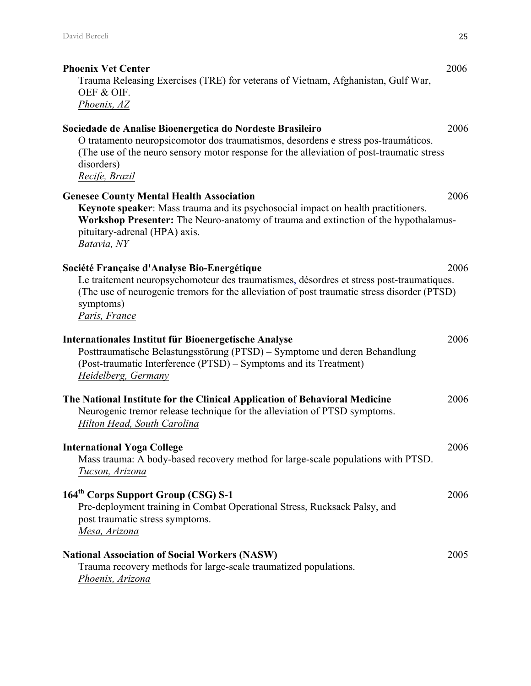| <b>Phoenix Vet Center</b><br>Trauma Releasing Exercises (TRE) for veterans of Vietnam, Afghanistan, Gulf War,<br>OEF & OIF.<br>Phoenix, AZ                                                                                                                                   | 2006 |
|------------------------------------------------------------------------------------------------------------------------------------------------------------------------------------------------------------------------------------------------------------------------------|------|
| Sociedade de Analise Bioenergetica do Nordeste Brasileiro<br>O tratamento neuropsicomotor dos traumatismos, desordens e stress pos-traumáticos.<br>(The use of the neuro sensory motor response for the alleviation of post-traumatic stress<br>disorders)<br>Recife, Brazil | 2006 |
| <b>Genesee County Mental Health Association</b><br>Keynote speaker: Mass trauma and its psychosocial impact on health practitioners.<br>Workshop Presenter: The Neuro-anatomy of trauma and extinction of the hypothalamus-<br>pituitary-adrenal (HPA) axis.<br>Batavia, NY  | 2006 |
| Société Française d'Analyse Bio-Energétique<br>Le traitement neuropsychomoteur des traumatismes, désordres et stress post-traumatiques.<br>(The use of neurogenic tremors for the alleviation of post traumatic stress disorder (PTSD)<br>symptoms)<br>Paris, France         | 2006 |
| Internationales Institut für Bioenergetische Analyse<br>Posttraumatische Belastungsstörung (PTSD) – Symptome und deren Behandlung<br>(Post-traumatic Interference (PTSD) – Symptoms and its Treatment)<br>Heidelberg, Germany                                                | 2006 |
| The National Institute for the Clinical Application of Behavioral Medicine<br>Neurogenic tremor release technique for the alleviation of PTSD symptoms.<br>Hilton Head, South Carolina                                                                                       | 2006 |
| <b>International Yoga College</b><br>Mass trauma: A body-based recovery method for large-scale populations with PTSD.<br>Tucson, Arizona                                                                                                                                     | 2006 |
| 164 <sup>th</sup> Corps Support Group (CSG) S-1<br>Pre-deployment training in Combat Operational Stress, Rucksack Palsy, and<br>post traumatic stress symptoms.<br>Mesa, Arizona                                                                                             | 2006 |
| <b>National Association of Social Workers (NASW)</b><br>Trauma recovery methods for large-scale traumatized populations.<br>Phoenix, Arizona                                                                                                                                 | 2005 |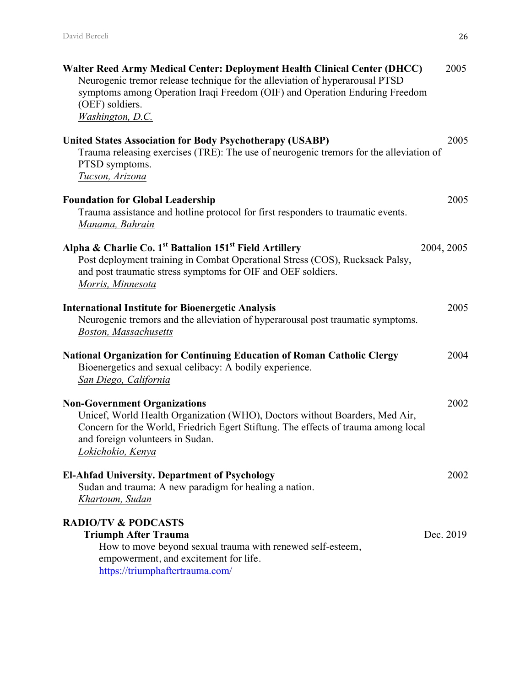| Walter Reed Army Medical Center: Deployment Health Clinical Center (DHCC)<br>Neurogenic tremor release technique for the alleviation of hyperarousal PTSD<br>symptoms among Operation Iraqi Freedom (OIF) and Operation Enduring Freedom<br>(OEF) soldiers.<br>Washington, D.C. | 2005       |
|---------------------------------------------------------------------------------------------------------------------------------------------------------------------------------------------------------------------------------------------------------------------------------|------------|
| <b>United States Association for Body Psychotherapy (USABP)</b><br>Trauma releasing exercises (TRE): The use of neurogenic tremors for the alleviation of<br>PTSD symptoms.<br>Tucson, Arizona                                                                                  | 2005       |
| <b>Foundation for Global Leadership</b><br>Trauma assistance and hotline protocol for first responders to traumatic events.<br>Manama, Bahrain                                                                                                                                  | 2005       |
| Alpha & Charlie Co. 1 <sup>st</sup> Battalion 151 <sup>st</sup> Field Artillery<br>Post deployment training in Combat Operational Stress (COS), Rucksack Palsy,<br>and post traumatic stress symptoms for OIF and OEF soldiers.<br>Morris, Minnesota                            | 2004, 2005 |
| <b>International Institute for Bioenergetic Analysis</b><br>Neurogenic tremors and the alleviation of hyperarousal post traumatic symptoms.<br><b>Boston, Massachusetts</b>                                                                                                     | 2005       |
| <b>National Organization for Continuing Education of Roman Catholic Clergy</b><br>Bioenergetics and sexual celibacy: A bodily experience.<br>San Diego, California                                                                                                              | 2004       |
| <b>Non-Government Organizations</b><br>Unicef, World Health Organization (WHO), Doctors without Boarders, Med Air,<br>Concern for the World, Friedrich Egert Stiftung. The effects of trauma among local<br>and foreign volunteers in Sudan.<br><u>Lokichokio, Kenya</u>        | 2002       |
| <b>El-Ahfad University. Department of Psychology</b><br>Sudan and trauma: A new paradigm for healing a nation.<br>Khartoum, Sudan                                                                                                                                               | 2002       |
| <b>RADIO/TV &amp; PODCASTS</b><br><b>Triumph After Trauma</b><br>How to move beyond sexual trauma with renewed self-esteem,<br>empowerment, and excitement for life.<br>https://triumphaftertrauma.com/                                                                         | Dec. 2019  |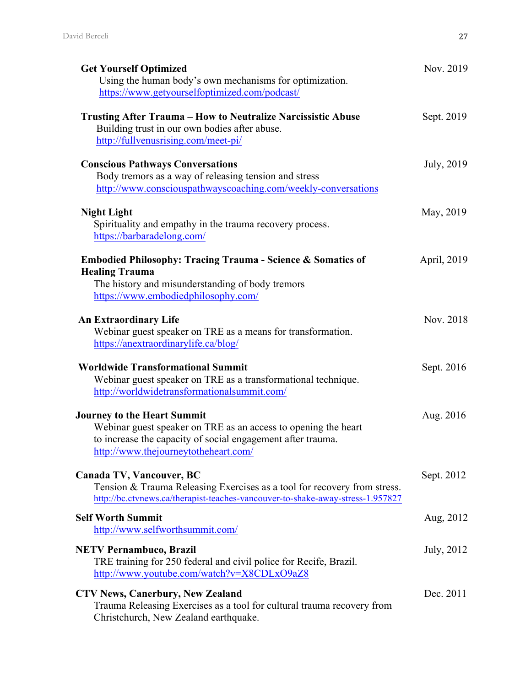| <b>Get Yourself Optimized</b><br>Using the human body's own mechanisms for optimization.<br>https://www.getyourselfoptimized.com/podcast/                                                                   | Nov. 2019   |
|-------------------------------------------------------------------------------------------------------------------------------------------------------------------------------------------------------------|-------------|
| <b>Trusting After Trauma – How to Neutralize Narcissistic Abuse</b><br>Building trust in our own bodies after abuse.<br>http://fullvenusrising.com/meet-pi/                                                 | Sept. 2019  |
| <b>Conscious Pathways Conversations</b><br>Body tremors as a way of releasing tension and stress<br>http://www.consciouspathwayscoaching.com/weekly-conversations                                           | July, 2019  |
| <b>Night Light</b><br>Spirituality and empathy in the trauma recovery process.<br>https://barbaradelong.com/                                                                                                | May, 2019   |
| <b>Embodied Philosophy: Tracing Trauma - Science &amp; Somatics of</b><br><b>Healing Trauma</b><br>The history and misunderstanding of body tremors<br>https://www.embodiedphilosophy.com/                  | April, 2019 |
| <b>An Extraordinary Life</b><br>Webinar guest speaker on TRE as a means for transformation.<br>https://anextraordinarylife.ca/blog/                                                                         | Nov. 2018   |
| <b>Worldwide Transformational Summit</b><br>Webinar guest speaker on TRE as a transformational technique.<br>http://worldwidetransformationalsummit.com/                                                    | Sept. 2016  |
| <b>Journey to the Heart Summit</b><br>Webinar guest speaker on TRE as an access to opening the heart<br>to increase the capacity of social engagement after trauma.<br>http://www.thejourneytotheheart.com/ | Aug. 2016   |
| Canada TV, Vancouver, BC<br>Tension & Trauma Releasing Exercises as a tool for recovery from stress.<br>http://bc.ctvnews.ca/therapist-teaches-vancouver-to-shake-away-stress-1.957827                      | Sept. 2012  |
| <b>Self Worth Summit</b><br>http://www.selfworthsummit.com/                                                                                                                                                 | Aug, 2012   |
| <b>NETV Pernambuco, Brazil</b><br>TRE training for 250 federal and civil police for Recife, Brazil.<br>http://www.youtube.com/watch?v=X8CDLxO9aZ8                                                           | July, 2012  |
| <b>CTV News, Canerbury, New Zealand</b><br>Trauma Releasing Exercises as a tool for cultural trauma recovery from<br>Christchurch, New Zealand earthquake.                                                  | Dec. 2011   |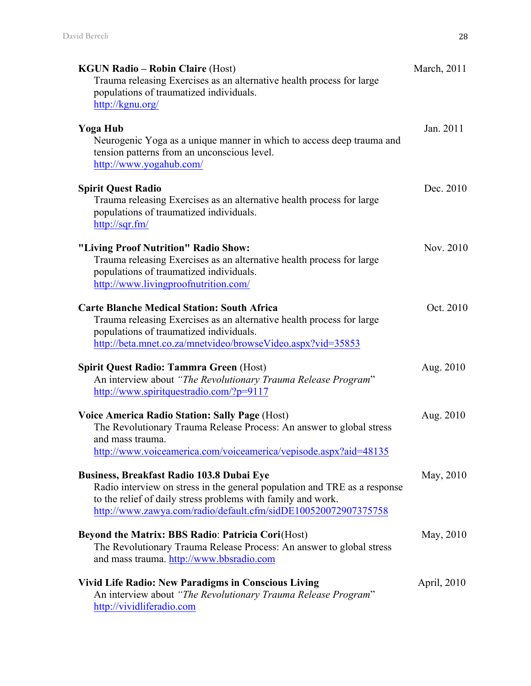| <b>KGUN Radio – Robin Claire (Host)</b><br>Trauma releasing Exercises as an alternative health process for large<br>populations of traumatized individuals.<br>http://kgnu.org/                                                                                 | March, 2011 |
|-----------------------------------------------------------------------------------------------------------------------------------------------------------------------------------------------------------------------------------------------------------------|-------------|
| <b>Yoga Hub</b><br>Neurogenic Yoga as a unique manner in which to access deep trauma and<br>tension patterns from an unconscious level.<br>http://www.yogahub.com/                                                                                              | Jan. 2011   |
| <b>Spirit Quest Radio</b><br>Trauma releasing Exercises as an alternative health process for large<br>populations of traumatized individuals.<br>$\frac{http://sqrt.fm/}{$                                                                                      | Dec. 2010   |
| "Living Proof Nutrition" Radio Show:<br>Trauma releasing Exercises as an alternative health process for large<br>populations of traumatized individuals.<br>http://www.livingproofnutrition.com/                                                                | Nov. 2010   |
| <b>Carte Blanche Medical Station: South Africa</b><br>Trauma releasing Exercises as an alternative health process for large<br>populations of traumatized individuals.<br>http://beta.mnet.co.za/mnetvideo/browseVideo.aspx?vid=35853                           | Oct. 2010   |
| <b>Spirit Quest Radio: Tammra Green (Host)</b><br>An interview about "The Revolutionary Trauma Release Program"<br>http://www.spiritquestradio.com/?p=9117                                                                                                      | Aug. 2010   |
| <b>Voice America Radio Station: Sally Page (Host)</b><br>The Revolutionary Trauma Release Process: An answer to global stress<br>and mass trauma.<br>http://www.voiceamerica.com/voiceamerica/vepisode.aspx?aid=48135                                           | Aug. 2010   |
| <b>Business, Breakfast Radio 103.8 Dubai Eye</b><br>Radio interview on stress in the general population and TRE as a response<br>to the relief of daily stress problems with family and work.<br>http://www.zawya.com/radio/default.cfm/sidDE100520072907375758 | May, 2010   |
| <b>Beyond the Matrix: BBS Radio: Patricia Cori(Host)</b><br>The Revolutionary Trauma Release Process: An answer to global stress<br>and mass trauma. http://www.bbsradio.com                                                                                    | May, 2010   |
| <b>Vivid Life Radio: New Paradigms in Conscious Living</b><br>An interview about "The Revolutionary Trauma Release Program"<br>http://vividliferadio.com                                                                                                        | April, 2010 |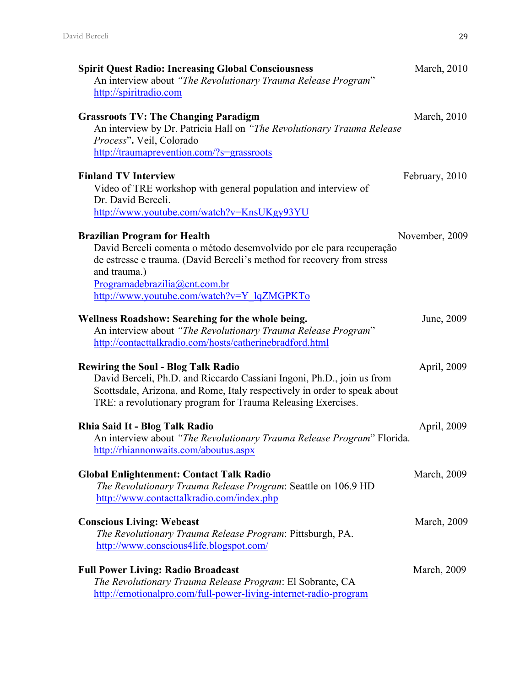| <b>Spirit Quest Radio: Increasing Global Consciousness</b><br>An interview about "The Revolutionary Trauma Release Program"<br>http://spiritradio.com                                                                                                                                | March, 2010         |
|--------------------------------------------------------------------------------------------------------------------------------------------------------------------------------------------------------------------------------------------------------------------------------------|---------------------|
| <b>Grassroots TV: The Changing Paradigm</b><br>An interview by Dr. Patricia Hall on "The Revolutionary Trauma Release<br>Process". Veil, Colorado<br>http://traumaprevention.com/?s=grassroots                                                                                       | March, 2010         |
| <b>Finland TV Interview</b><br>Video of TRE workshop with general population and interview of<br>Dr. David Berceli.<br>http://www.youtube.com/watch?v=KnsUKgy93YU                                                                                                                    | February, 2010      |
| <b>Brazilian Program for Health</b><br>David Berceli comenta o método desemvolvido por ele para recuperação<br>de estresse e trauma. (David Berceli's method for recovery from stress<br>and trauma.)<br>Programadebrazilia@cnt.com.br<br>http://www.youtube.com/watch?v=Y_lqZMGPKTo | November, 2009      |
| Wellness Roadshow: Searching for the whole being.<br>An interview about "The Revolutionary Trauma Release Program"<br>http://contacttalkradio.com/hosts/catherinebradford.html                                                                                                       | June, 2009          |
| <b>Rewiring the Soul - Blog Talk Radio</b><br>David Berceli, Ph.D. and Riccardo Cassiani Ingoni, Ph.D., join us from<br>Scottsdale, Arizona, and Rome, Italy respectively in order to speak about<br>TRE: a revolutionary program for Trauma Releasing Exercises.                    | April, 2009         |
| Rhia Said It - Blog Talk Radio<br>An interview about "The Revolutionary Trauma Release Program" Florida.<br>http://rhiannonwaits.com/aboutus.aspx                                                                                                                                    | April, 2009         |
| <b>Global Enlightenment: Contact Talk Radio</b><br>The Revolutionary Trauma Release Program: Seattle on 106.9 HD<br>http://www.contacttalkradio.com/index.php                                                                                                                        | March, 2009         |
| <b>Conscious Living: Webcast</b><br>The Revolutionary Trauma Release Program: Pittsburgh, PA.<br>http://www.conscious4life.blogspot.com/                                                                                                                                             | <b>March</b> , 2009 |
| <b>Full Power Living: Radio Broadcast</b><br>The Revolutionary Trauma Release Program: El Sobrante, CA<br>http://emotionalpro.com/full-power-living-internet-radio-program                                                                                                           | March, 2009         |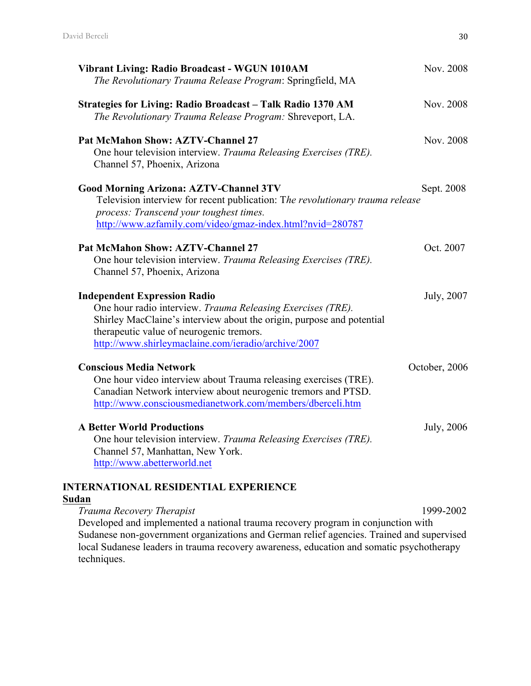| Vibrant Living: Radio Broadcast - WGUN 1010AM<br>The Revolutionary Trauma Release Program: Springfield, MA                                                                                                                                                                     | Nov. 2008     |
|--------------------------------------------------------------------------------------------------------------------------------------------------------------------------------------------------------------------------------------------------------------------------------|---------------|
| Strategies for Living: Radio Broadcast - Talk Radio 1370 AM<br>The Revolutionary Trauma Release Program: Shreveport, LA.                                                                                                                                                       | Nov. 2008     |
| <b>Pat McMahon Show: AZTV-Channel 27</b><br>One hour television interview. Trauma Releasing Exercises (TRE).<br>Channel 57, Phoenix, Arizona                                                                                                                                   | Nov. 2008     |
| <b>Good Morning Arizona: AZTV-Channel 3TV</b><br>Television interview for recent publication: The revolutionary trauma release<br>process: Transcend your toughest times.<br>http://www.azfamily.com/video/gmaz-index.html?nvid=280787                                         | Sept. 2008    |
| <b>Pat McMahon Show: AZTV-Channel 27</b><br>One hour television interview. Trauma Releasing Exercises (TRE).<br>Channel 57, Phoenix, Arizona                                                                                                                                   | Oct. 2007     |
| <b>Independent Expression Radio</b><br>One hour radio interview. Trauma Releasing Exercises (TRE).<br>Shirley MacClaine's interview about the origin, purpose and potential<br>therapeutic value of neurogenic tremors.<br>http://www.shirleymaclaine.com/ieradio/archive/2007 | July, 2007    |
| <b>Conscious Media Network</b><br>One hour video interview about Trauma releasing exercises (TRE).<br>Canadian Network interview about neurogenic tremors and PTSD.<br>http://www.consciousmedianetwork.com/members/dberceli.htm                                               | October, 2006 |
| <b>A Better World Productions</b><br>One hour television interview. Trauma Releasing Exercises (TRE).<br>Channel 57, Manhattan, New York.<br>http://www.abetterworld.net                                                                                                       | July, 2006    |

**INTERNATIONAL RESIDENTIAL EXPERIENCE**

# **Sudan**

*Trauma Recovery Therapist* 1999-2002 Developed and implemented a national trauma recovery program in conjunction with Sudanese non-government organizations and German relief agencies. Trained and supervised local Sudanese leaders in trauma recovery awareness, education and somatic psychotherapy techniques.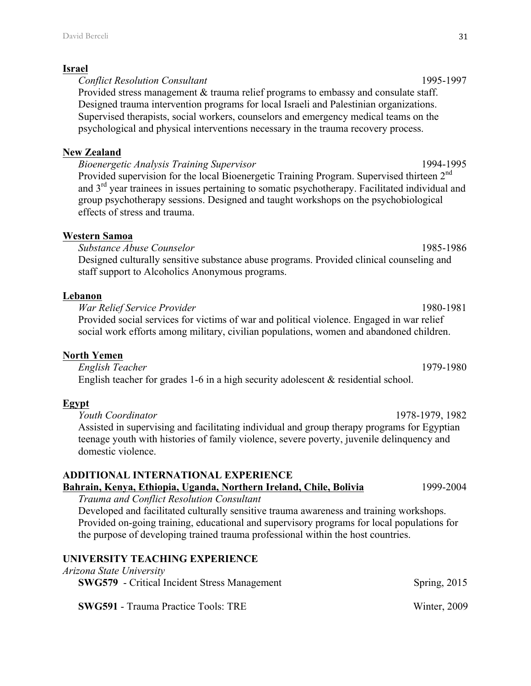#### **Israel**

*Conflict Resolution Consultant* 1995-1997 Provided stress management & trauma relief programs to embassy and consulate staff. Designed trauma intervention programs for local Israeli and Palestinian organizations. Supervised therapists, social workers, counselors and emergency medical teams on the psychological and physical interventions necessary in the trauma recovery process.

#### **New Zealand**

*Bioenergetic Analysis Training Supervisor* 1994-1995 Provided supervision for the local Bioenergetic Training Program. Supervised thirteen  $2<sup>nd</sup>$ and 3<sup>rd</sup> year trainees in issues pertaining to somatic psychotherapy. Facilitated individual and group psychotherapy sessions. Designed and taught workshops on the psychobiological effects of stress and trauma.

### **Western Samoa**

*Substance Abuse Counselor* 1985-1986 Designed culturally sensitive substance abuse programs. Provided clinical counseling and staff support to Alcoholics Anonymous programs.

### **Lebanon**

*War Relief Service Provider* 1980-1981 Provided social services for victims of war and political violence. Engaged in war relief social work efforts among military, civilian populations, women and abandoned children.

### **North Yemen**

*English Teacher* 1979-1980 English teacher for grades 1-6 in a high security adolescent & residential school.

### **Egypt**

*Youth Coordinator* 1978-1979, 1982 Assisted in supervising and facilitating individual and group therapy programs for Egyptian teenage youth with histories of family violence, severe poverty, juvenile delinquency and domestic violence.

# **ADDITIONAL INTERNATIONAL EXPERIENCE**

**Bahrain, Kenya, Ethiopia, Uganda, Northern Ireland, Chile, Bolivia** 1999-2004

*Trauma and Conflict Resolution Consultant* Developed and facilitated culturally sensitive trauma awareness and training workshops. Provided on-going training, educational and supervisory programs for local populations for the purpose of developing trained trauma professional within the host countries.

# **UNIVERSITY TEACHING EXPERIENCE**

### *Arizona State University*

**SWG579** - Critical Incident Stress Management Spring, 2015

**SWG591** - Trauma Practice Tools: TRE Winter, 2009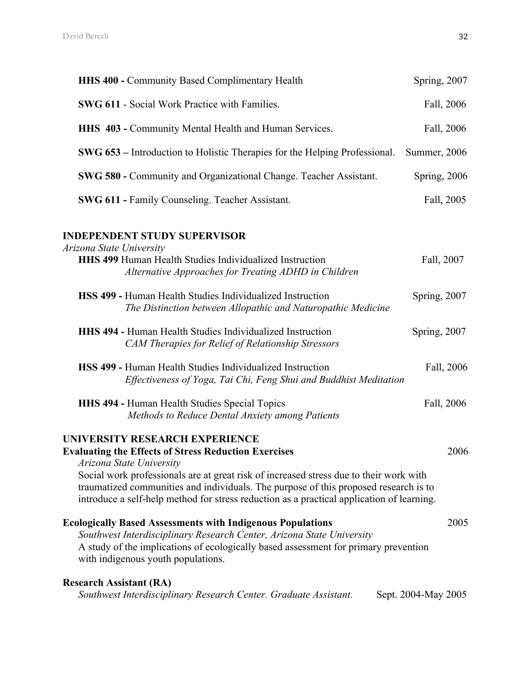| <b>HHS 400 - Community Based Complimentary Health</b>                                                                                                                                                                                                                                                                                                                                                    | Spring, 2007        |
|----------------------------------------------------------------------------------------------------------------------------------------------------------------------------------------------------------------------------------------------------------------------------------------------------------------------------------------------------------------------------------------------------------|---------------------|
| <b>SWG 611 - Social Work Practice with Families.</b>                                                                                                                                                                                                                                                                                                                                                     | Fall, 2006          |
| HHS 403 - Community Mental Health and Human Services.                                                                                                                                                                                                                                                                                                                                                    | Fall, 2006          |
| <b>SWG 653</b> – Introduction to Holistic Therapies for the Helping Professional.                                                                                                                                                                                                                                                                                                                        | Summer, 2006        |
| SWG 580 - Community and Organizational Change. Teacher Assistant.                                                                                                                                                                                                                                                                                                                                        | Spring, 2006        |
| <b>SWG 611 - Family Counseling. Teacher Assistant.</b>                                                                                                                                                                                                                                                                                                                                                   | Fall, 2005          |
| <b>INDEPENDENT STUDY SUPERVISOR</b><br>Arizona State University<br><b>HHS 499 Human Health Studies Individualized Instruction</b><br>Alternative Approaches for Treating ADHD in Children                                                                                                                                                                                                                | Fall, 2007          |
| HSS 499 - Human Health Studies Individualized Instruction<br>The Distinction between Allopathic and Naturopathic Medicine                                                                                                                                                                                                                                                                                | Spring, 2007        |
| <b>HHS 494 - Human Health Studies Individualized Instruction</b><br>CAM Therapies for Relief of Relationship Stressors                                                                                                                                                                                                                                                                                   | Spring, 2007        |
| <b>HSS 499 - Human Health Studies Individualized Instruction</b><br>Effectiveness of Yoga, Tai Chi, Feng Shui and Buddhist Meditation                                                                                                                                                                                                                                                                    | Fall, 2006          |
| <b>HHS 494 - Human Health Studies Special Topics</b><br>Methods to Reduce Dental Anxiety among Patients                                                                                                                                                                                                                                                                                                  | Fall, 2006          |
| UNIVERSITY RESEARCH EXPERIENCE<br><b>Evaluating the Effects of Stress Reduction Exercises</b><br>Arizona State University<br>Social work professionals are at great risk of increased stress due to their work with<br>traumatized communities and individuals. The purpose of this proposed research is to<br>introduce a self-help method for stress reduction as a practical application of learning. | 2006                |
| <b>Ecologically Based Assessments with Indigenous Populations</b><br>Southwest Interdisciplinary Research Center, Arizona State University<br>A study of the implications of ecologically based assessment for primary prevention<br>with indigenous youth populations.                                                                                                                                  | 2005                |
| <b>Research Assistant (RA)</b><br>Southwest Interdisciplinary Research Center. Graduate Assistant.                                                                                                                                                                                                                                                                                                       | Sept. 2004-May 2005 |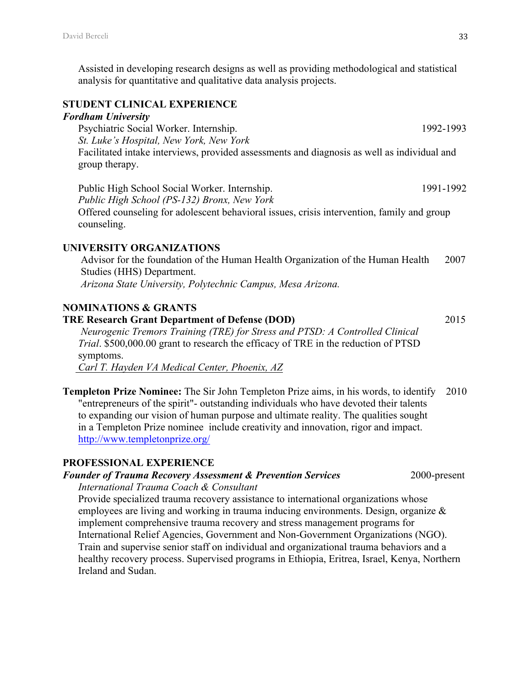Assisted in developing research designs as well as providing methodological and statistical analysis for quantitative and qualitative data analysis projects.

### **STUDENT CLINICAL EXPERIENCE**

#### *Fordham University*

Psychiatric Social Worker. Internship. 1992-1993 *St. Luke's Hospital, New York, New York* Facilitated intake interviews, provided assessments and diagnosis as well as individual and group therapy.

Public High School Social Worker. Internship. 1991-1992 *Public High School (PS-132) Bronx, New York* Offered counseling for adolescent behavioral issues, crisis intervention, family and group counseling.

#### **UNIVERSITY ORGANIZATIONS**

Advisor for the foundation of the Human Health Organization of the Human Health 2007 Studies (HHS) Department. *Arizona State University, Polytechnic Campus, Mesa Arizona.*

# **NOMINATIONS & GRANTS**

### **TRE Research Grant Department of Defense (DOD)** 2015

 *Neurogenic Tremors Training (TRE) for Stress and PTSD: A Controlled Clinical Trial*. \$500,000.00 grant to research the efficacy of TRE in the reduction of PTSD symptoms.

 *Carl T. Hayden VA Medical Center, Phoenix, AZ*

**Templeton Prize Nominee:** The Sir John Templeton Prize aims, in his words, to identify 2010 "entrepreneurs of the spirit"- outstanding individuals who have devoted their talents to expanding our vision of human purpose and ultimate reality. The qualities sought in a Templeton Prize nominee include creativity and innovation, rigor and impact. http://www.templetonprize.org/

### **PROFESSIONAL EXPERIENCE**

# *Founder of Trauma Recovery Assessment & Prevention Services* 2000-present

*International Trauma Coach & Consultant* 

Provide specialized trauma recovery assistance to international organizations whose employees are living and working in trauma inducing environments. Design, organize & implement comprehensive trauma recovery and stress management programs for International Relief Agencies, Government and Non-Government Organizations (NGO). Train and supervise senior staff on individual and organizational trauma behaviors and a healthy recovery process. Supervised programs in Ethiopia, Eritrea, Israel, Kenya, Northern Ireland and Sudan.